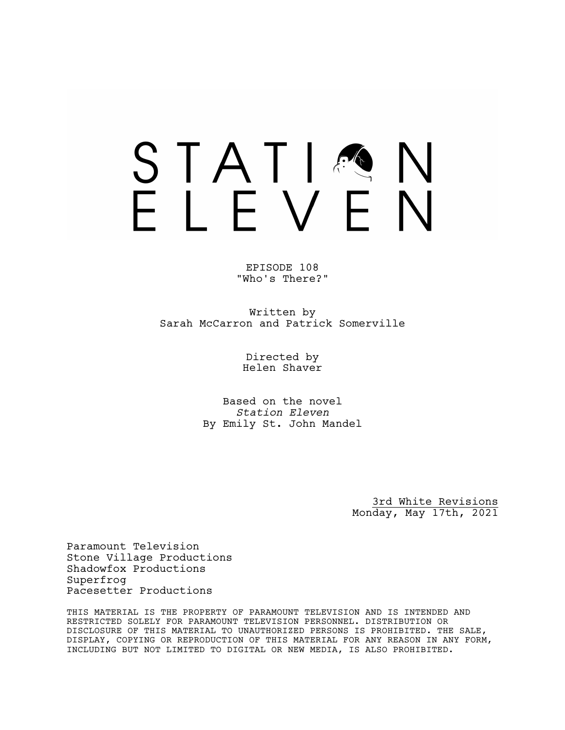## STATIA FIFVFN

EPISODE 108 "Who's There?"

Written by Sarah McCarron and Patrick Somerville

> Directed by Helen Shaver

Based on the novel *Station Eleven* By Emily St. John Mandel

> 3rd White Revisions Monday, May 17th, 2021

Paramount Television Stone Village Productions Shadowfox Productions Superfrog Pacesetter Productions

THIS MATERIAL IS THE PROPERTY OF PARAMOUNT TELEVISION AND IS INTENDED AND RESTRICTED SOLELY FOR PARAMOUNT TELEVISION PERSONNEL. DISTRIBUTION OR DISCLOSURE OF THIS MATERIAL TO UNAUTHORIZED PERSONS IS PROHIBITED. THE SALE, DISPLAY, COPYING OR REPRODUCTION OF THIS MATERIAL FOR ANY REASON IN ANY FORM, INCLUDING BUT NOT LIMITED TO DIGITAL OR NEW MEDIA, IS ALSO PROHIBITED.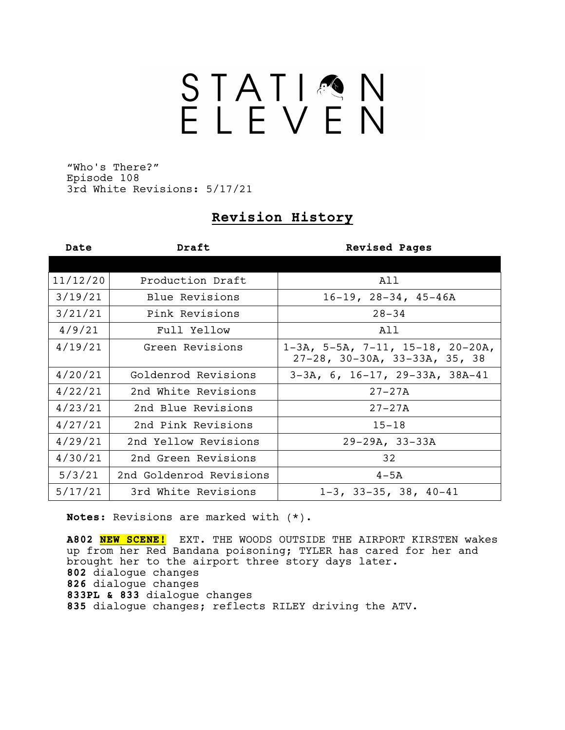# STATIMN

"Who's There?" Episode 108 3rd White Revisions: 5/17/21

## **Revision History**

| Date     | Draft                   | <b>Revised Pages</b>                                                               |
|----------|-------------------------|------------------------------------------------------------------------------------|
|          |                         |                                                                                    |
| 11/12/20 | Production Draft        | All                                                                                |
| 3/19/21  | Blue Revisions          | $16-19$ , $28-34$ , $45-46A$                                                       |
| 3/21/21  | Pink Revisions          | $28 - 34$                                                                          |
| 4/9/21   | Full Yellow             | All                                                                                |
| 4/19/21  | Green Revisions         | $1-3A$ , 5-5A, 7-11, 15-18, 20-20A,<br>$27-28$ , $30-30A$ , $33-33A$ , $35$ , $38$ |
| 4/20/21  | Goldenrod Revisions     | $3-3A$ , 6, $16-17$ , 29-33A, 38A-41                                               |
| 4/22/21  | 2nd White Revisions     | $27 - 27A$                                                                         |
| 4/23/21  | 2nd Blue Revisions      | $27 - 27A$                                                                         |
| 4/27/21  | 2nd Pink Revisions      | $15 - 18$                                                                          |
| 4/29/21  | 2nd Yellow Revisions    | $29-29A, 33-33A$                                                                   |
| 4/30/21  | 2nd Green Revisions     | 32                                                                                 |
| 5/3/21   | 2nd Goldenrod Revisions | $4 - 5A$                                                                           |
| 5/17/21  | 3rd White Revisions     | $1-3$ , $33-35$ , $38$ , $40-41$                                                   |

**Notes:** Revisions are marked with (\*).

**A802 NEW SCENE!** EXT. THE WOODS OUTSIDE THE AIRPORT KIRSTEN wakes up from her Red Bandana poisoning; TYLER has cared for her and brought her to the airport three story days later. **802** dialogue changes **826** dialogue changes **833PL & 833** dialogue changes **835** dialogue changes; reflects RILEY driving the ATV.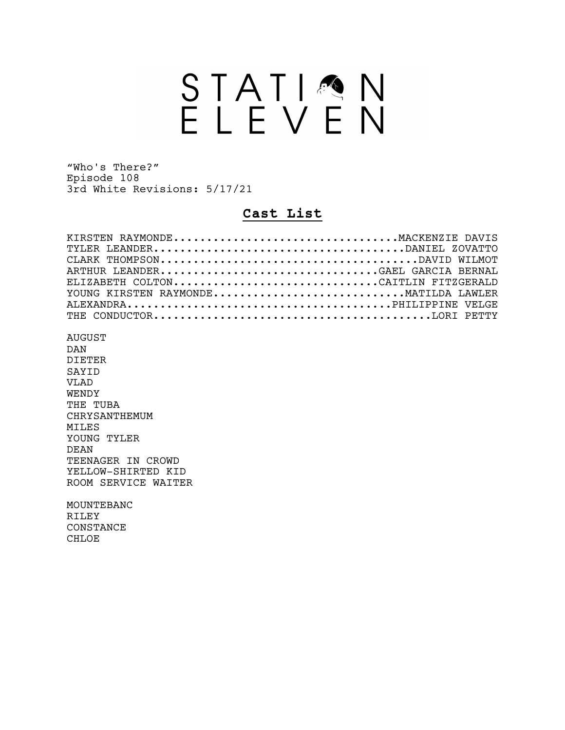# STATION<br>ELEVEN

"Who's There?" Episode 108 3rd White Revisions: 5/17/21

## **Cast List**

| KIRSTEN RAYMONDEMACKENZIE DAVIS      |  |
|--------------------------------------|--|
| TYLER LEANDERDANIEL ZOVATTO          |  |
|                                      |  |
| ARTHUR LEANDERGAEL GARCIA BERNAL     |  |
| ELIZABETH COLTONCAITLIN FITZGERALD   |  |
| YOUNG KIRSTEN RAYMONDEMATILDA LAWLER |  |
|                                      |  |
|                                      |  |
|                                      |  |
| AUGUST                               |  |
| DAN                                  |  |
| DIETER                               |  |
| SAYTD                                |  |
| VT.AD                                |  |
| <b>WENDY</b>                         |  |
| THE TUBA                             |  |
| CHRYSANTHEMUM                        |  |
| <b>MTT.ES</b>                        |  |
| YOUNG TYLER                          |  |
| <b>DEAN</b>                          |  |
| TEENAGER IN CROWD                    |  |
| YELLOW-SHIRTED KID                   |  |
| ROOM SERVICE WAITER                  |  |
|                                      |  |
| MOUNTEBANC                           |  |
| RTLEY                                |  |
| CONSTANCE                            |  |
| <b>CHLOE</b>                         |  |
|                                      |  |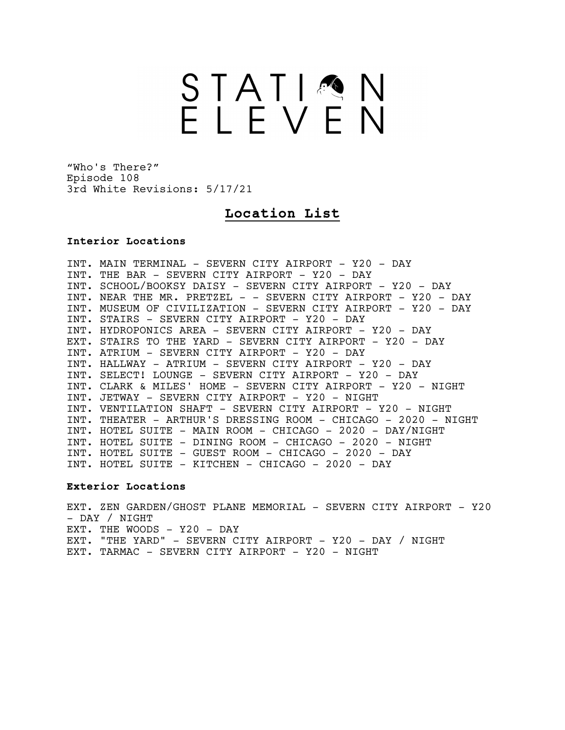## STATIMN<br>ELEVEN

"Who's There?" Episode 108 3rd White Revisions: 5/17/21

### **Location List**

### **Interior Locations**

INT. MAIN TERMINAL - SEVERN CITY AIRPORT - Y20 - DAY INT. THE BAR - SEVERN CITY AIRPORT - Y20 - DAY INT. SCHOOL/BOOKSY DAISY - SEVERN CITY AIRPORT - Y20 - DAY INT. NEAR THE MR. PRETZEL - - SEVERN CITY AIRPORT - Y20 - DAY INT. MUSEUM OF CIVILIZATION - SEVERN CITY AIRPORT - Y20 - DAY INT. STAIRS - SEVERN CITY AIRPORT - Y20 - DAY INT. HYDROPONICS AREA - SEVERN CITY AIRPORT - Y20 - DAY EXT. STAIRS TO THE YARD - SEVERN CITY AIRPORT - Y20 - DAY INT. ATRIUM - SEVERN CITY AIRPORT - Y20 - DAY INT. HALLWAY - ATRIUM - SEVERN CITY AIRPORT - Y20 - DAY INT. SELECT! LOUNGE - SEVERN CITY AIRPORT - Y20 - DAY INT. CLARK & MILES' HOME - SEVERN CITY AIRPORT - Y20 - NIGHT INT. JETWAY - SEVERN CITY AIRPORT - Y20 - NIGHT INT. VENTILATION SHAFT - SEVERN CITY AIRPORT - Y20 - NIGHT INT. THEATER - ARTHUR'S DRESSING ROOM - CHICAGO - 2020 - NIGHT INT. HOTEL SUITE - MAIN ROOM - CHICAGO - 2020 - DAY/NIGHT INT. HOTEL SUITE - DINING ROOM - CHICAGO - 2020 - NIGHT INT. HOTEL SUITE - GUEST ROOM - CHICAGO - 2020 - DAY INT. HOTEL SUITE - KITCHEN - CHICAGO - 2020 - DAY

### **Exterior Locations**

EXT. ZEN GARDEN/GHOST PLANE MEMORIAL - SEVERN CITY AIRPORT - Y20<br>- DAY / NIGHT EXT. THE WOODS - Y20 - DAY EXT. "THE YARD" - SEVERN CITY AIRPORT - Y20 - DAY / NIGHT EXT. TARMAC - SEVERN CITY AIRPORT - Y20 - NIGHT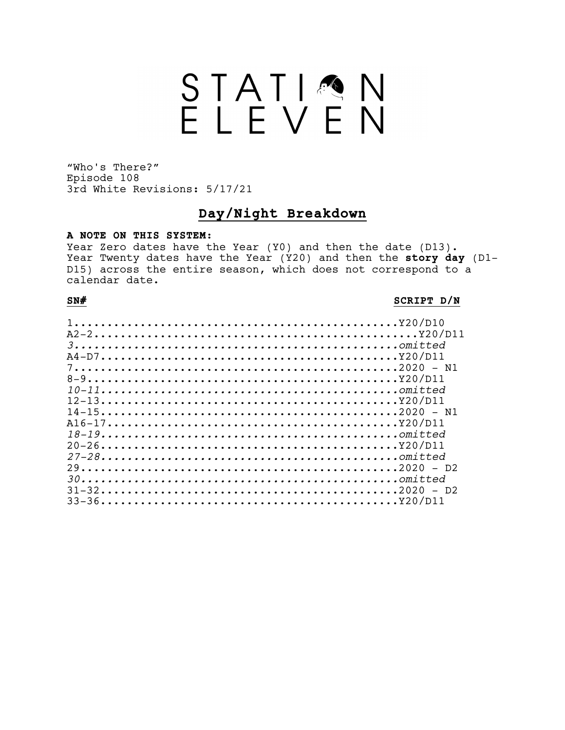## STATIQN<br>ELEVEN

"Who's There?" Episode 108 3rd White Revisions: 5/17/21

## **Day/Night Breakdown**

### **A NOTE ON THIS SYSTEM:**

Year Zero dates have the Year (Y0) and then the date (D13). Year Twenty dates have the Year (Y20) and then the **story day** (D1- D15) across the entire season, which does not correspond to a calendar date.

### **SN# SCRIPT D/N**

| $12-13$          |  |
|------------------|--|
| $14-152020 - N1$ |  |
|                  |  |
|                  |  |
|                  |  |
|                  |  |
|                  |  |
|                  |  |
| $31-322020 - D2$ |  |
|                  |  |
|                  |  |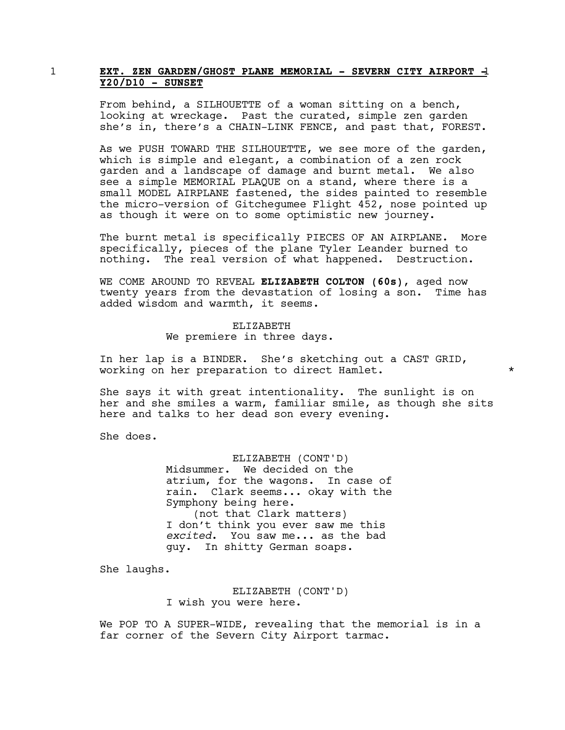### 1 **EXT. ZEN GARDEN/GHOST PLANE MEMORIAL - SEVERN CITY AIRPORT -**1 **Y20/D10 - SUNSET**

From behind, a SILHOUETTE of a woman sitting on a bench, looking at wreckage. Past the curated, simple zen garden she's in, there's a CHAIN-LINK FENCE, and past that, FOREST.

As we PUSH TOWARD THE SILHOUETTE, we see more of the garden, which is simple and elegant, a combination of a zen rock garden and a landscape of damage and burnt metal. We also see a simple MEMORIAL PLAQUE on a stand, where there is a small MODEL AIRPLANE fastened, the sides painted to resemble the micro-version of Gitchegumee Flight 452, nose pointed up as though it were on to some optimistic new journey.

The burnt metal is specifically PIECES OF AN AIRPLANE. More specifically, pieces of the plane Tyler Leander burned to nothing. The real version of what happened. Destruction.

WE COME AROUND TO REVEAL **ELIZABETH COLTON (60s)**, aged now twenty years from the devastation of losing a son. Time has added wisdom and warmth, it seems.

> ELIZABETH We premiere in three days.

In her lap is a BINDER. She's sketching out a CAST GRID, working on her preparation to direct Hamlet. \*

She says it with great intentionality. The sunlight is on her and she smiles a warm, familiar smile, as though she sits here and talks to her dead son every evening.

She does.

ELIZABETH (CONT'D) Midsummer. We decided on the atrium, for the wagons. In case of rain. Clark seems... okay with the Symphony being here. (not that Clark matters) I don't think you ever saw me this *excited*. You saw me... as the bad guy. In shitty German soaps.

She laughs.

ELIZABETH (CONT'D) I wish you were here.

We POP TO A SUPER-WIDE, revealing that the memorial is in a far corner of the Severn City Airport tarmac.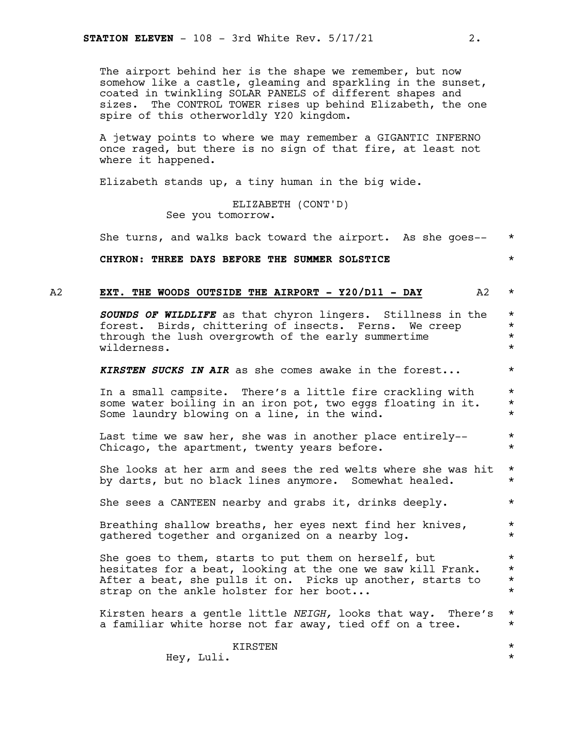The airport behind her is the shape we remember, but now somehow like a castle, gleaming and sparkling in the sunset, coated in twinkling SOLAR PANELS of different shapes and sizes. The CONTROL TOWER rises up behind Elizabeth, the one spire of this otherworldly Y20 kingdom.

A jetway points to where we may remember a GIGANTIC INFERNO once raged, but there is no sign of that fire, at least not where it happened.

Elizabeth stands up, a tiny human in the big wide.

ELIZABETH (CONT'D) See you tomorrow.

She turns, and walks back toward the airport. As she goes--  $*$ 

### **CHYRON: THREE DAYS BEFORE THE SUMMER SOLSTICE** \*

### A2 **EXT. THE WOODS OUTSIDE THE AIRPORT - Y20/D11 - DAY** A2 \*

*SOUNDS OF WILDLIFE* as that chyron lingers. Stillness in the \* forest. Birds, chittering of insects. Ferns. We creep  $*$ through the lush overgrowth of the early summertime \* wilderness. \*

*KIRSTEN SUCKS IN AIR* as she comes awake in the forest... \*

In a small campsite. There's a little fire crackling with \* some water boiling in an iron pot, two eggs floating in it. \* Some laundry blowing on a line, in the wind.

Last time we saw her, she was in another place entirely-- $*$ Chicago, the apartment, twenty years before.  $*$ 

She looks at her arm and sees the red welts where she was hit  $*$ by darts, but no black lines anymore. Somewhat healed. \*

She sees a CANTEEN nearby and grabs it, drinks deeply.  $*$ 

Breathing shallow breaths, her eyes next find her knives,  $*$ gathered together and organized on a nearby log.  $*$ 

She goes to them, starts to put them on herself, but  $*$ hesitates for a beat, looking at the one we saw kill Frank. \* After a beat, she pulls it on. Picks up another, starts to  $*$ strap on the ankle holster for her boot...  $*$ 

Kirsten hears a gentle little *NEIGH*, looks that way. There's \*<br>a familiar white horse not far away, tied off on a tree. a familiar white horse not far away, tied off on a tree. \*

KIRSTEN \*

Hey, Luli. \*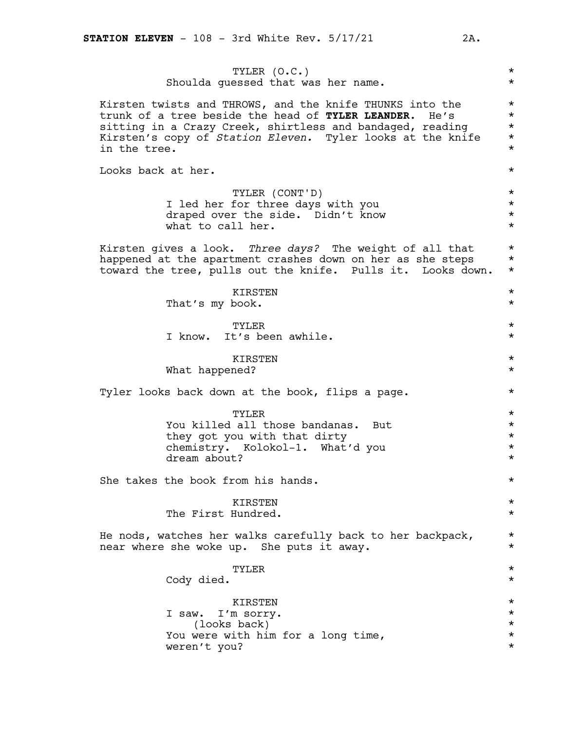### TYLER (O.C.) \* Shoulda quessed that was her name.  $*$

Kirsten twists and THROWS, and the knife THUNKS into the  $*$ trunk of a tree beside the head of **TYLER LEANDER**. He's \* sitting in a Crazy Creek, shirtless and bandaged, reading  $*$ <br>Kirsten's copy of *Station Eleven*, Tyler looks at the knife  $*$ Kirsten's copy of *Station Eleven.* Tyler looks at the knife \* in the tree.  $\star$ Looks back at her.  $\star$ 

> TYLER (CONT'D) \* I led her for three days with you \* draped over the side. Didn't know \* what to call her.  $\star$

Kirsten gives a look. *Three days?* The weight of all that \* happened at the apartment crashes down on her as she steps \* toward the tree, pulls out the knife. Pulls it. Looks down. \*

> KIRSTEN \* That's my book. TYLER  $\star$

I know. It's been awhile.  $\star$ 

### KIRSTEN \* What happened?  $\star$

Tyler looks back down at the book, flips a page.  $*$ 

TYLER  $\star$ You killed all those bandanas. But  $*$ they got you with that dirty  $\star$ chemistry. Kolokol-1. What'd you \* dream about? \*

She takes the book from his hands.  $\star$ 

### KIRSTEN \* The First Hundred.  $\star$

He nods, watches her walks carefully back to her backpack,  $*$ near where she woke up. She puts it away.

> TYLER  $\star$ Cody died. \* KIRSTEN \* I saw. I'm sorry. \* (looks back)  $\star$ <br>were with him for a long time.  $\star$ You were with him for a long time,  $*$ <br>weren't you? weren't you? \*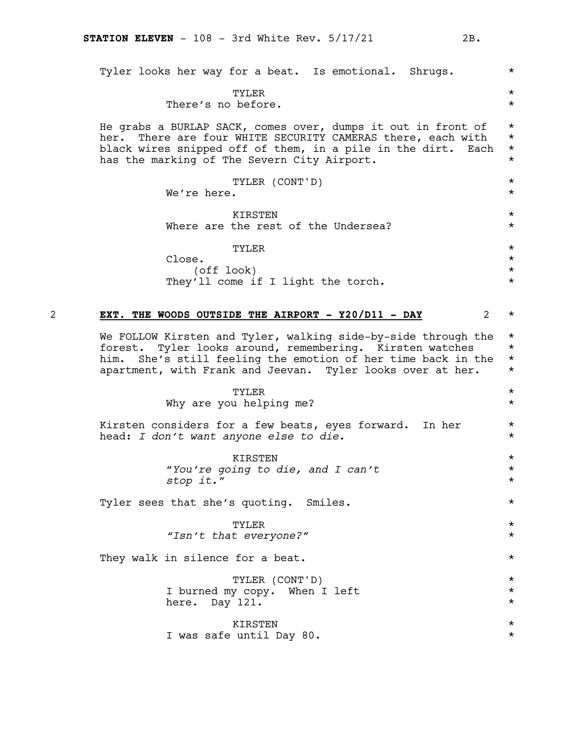|   | <b>STATION ELEVEN</b> - 108 - 3rd White Rev. $5/17/21$<br>2B.                                                                                                                                                                                                 |                                              |
|---|---------------------------------------------------------------------------------------------------------------------------------------------------------------------------------------------------------------------------------------------------------------|----------------------------------------------|
|   | Tyler looks her way for a beat. Is emotional. Shrugs.                                                                                                                                                                                                         | $\star$                                      |
|   | TYLER<br>There's no before.                                                                                                                                                                                                                                   | $^\star$<br>$^\star$                         |
|   | He grabs a BURLAP SACK, comes over, dumps it out in front of<br>There are four WHITE SECURITY CAMERAS there, each with<br>her.<br>black wires snipped off of them, in a pile in the dirt.<br>Each<br>has the marking of The Severn City Airport.              | $\star$<br>$^\star$<br>$^\star$<br>$^\star$  |
|   | TYLER (CONT'D)<br>We're here.                                                                                                                                                                                                                                 | $\star$<br>$^\star$                          |
|   | KIRSTEN<br>Where are the rest of the Undersea?                                                                                                                                                                                                                | $\star$<br>$^\star$                          |
|   | TYLER<br>Close.<br>(off look)<br>They'll come if I light the torch.                                                                                                                                                                                           | $\star$<br>$\star$<br>$^\star$<br>$^\star$   |
| 2 | $\overline{2}$<br>EXT. THE WOODS OUTSIDE THE AIRPORT - Y20/D11 - DAY                                                                                                                                                                                          | $^\star$                                     |
|   | We FOLLOW Kirsten and Tyler, walking side-by-side through the<br>Tyler looks around, remembering. Kirsten watches<br>forest.<br>She's still feeling the emotion of her time back in the<br>him.<br>apartment, with Frank and Jeevan. Tyler looks over at her. | $^\star$<br>$^\star$<br>$^\star$<br>$^\star$ |
|   | TYLER<br>Why are you helping me?                                                                                                                                                                                                                              | $\star$<br>$^\star$                          |
|   | Kirsten considers for a few beats, eyes forward. In her<br>head: I don't want anyone else to die.                                                                                                                                                             | $\star$<br>$^\star$                          |
|   | KIRSTEN<br>"You're going to die, and I can't<br>stop it."                                                                                                                                                                                                     | $\star$<br>$^\star$<br>$^\star$              |
|   | Tyler sees that she's quoting. Smiles.                                                                                                                                                                                                                        | $\star$                                      |
|   | TYLER<br>"Isn't that everyone?"                                                                                                                                                                                                                               | $\star$<br>$^\star$                          |
|   | They walk in silence for a beat.                                                                                                                                                                                                                              | $\star$                                      |
|   | TYLER (CONT'D)<br>I burned my copy. When I left<br>here. Day 121.                                                                                                                                                                                             | $\star$<br>$\star$<br>$^\star$               |
|   | KIRSTEN                                                                                                                                                                                                                                                       | $^\star$                                     |

I was safe until Day 80.  $\star$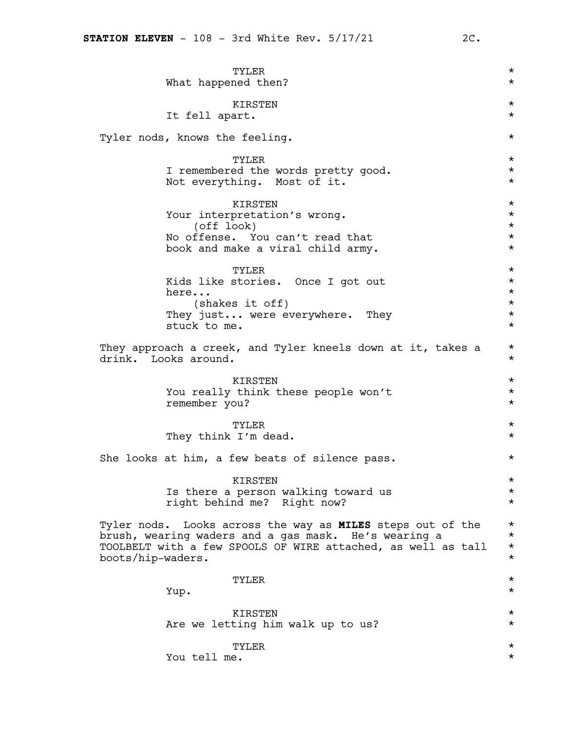|                   | TYLER<br>What happened then?                                                                                                                                                       | $^\star$<br>$^\star$                                                 |
|-------------------|------------------------------------------------------------------------------------------------------------------------------------------------------------------------------------|----------------------------------------------------------------------|
|                   | KIRSTEN<br>It fell apart.                                                                                                                                                          | $^\star$<br>$^\star$                                                 |
|                   | Tyler nods, knows the feeling.                                                                                                                                                     | $^\star$                                                             |
|                   | TYT.FR<br>I remembered the words pretty good.<br>Not everything. Most of it.                                                                                                       | $^\star$<br>$^\star$<br>$^\star$                                     |
|                   | KIRSTEN<br>Your interpretation's wrong.<br>(off look)<br>No offense. You can't read that<br>book and make a viral child army.                                                      | $^\star$<br>$^\star$<br>$^\star$<br>$^\star$<br>$^\star$             |
|                   | TYLER<br>Kids like stories. Once I got out<br>here<br>(shakes it off)<br>They just were everywhere.<br>They<br>stuck to me.                                                        | $^\star$<br>$^\star$<br>$^\star$<br>$^\star$<br>$^\star$<br>$^\star$ |
|                   | They approach a creek, and Tyler kneels down at it, takes a<br>drink. Looks around.                                                                                                | $^\star$<br>$^\star$                                                 |
|                   | KIRSTEN<br>You really think these people won't<br>remember you?                                                                                                                    | $^\star$<br>$^\star$<br>$^\star$                                     |
|                   | TYLER<br>They think I'm dead.                                                                                                                                                      | $^\star$<br>$^\star$                                                 |
|                   | She looks at him, a few beats of silence pass.                                                                                                                                     | $^\star$                                                             |
|                   | KIRSTEN<br>Is there a person walking toward us<br>right behind me? Right now?                                                                                                      | $^\star$<br>$^\star$<br>$^\star$                                     |
| boots/hip-waders. | Tyler nods. Looks across the way as MILES steps out of the<br>brush, wearing waders and a gas mask. He's wearing a<br>TOOLBELT with a few SPOOLS OF WIRE attached, as well as tall | $\star$<br>$^\star$<br>$^\star$<br>$^\star$                          |
|                   | TYLER<br>Yup.                                                                                                                                                                      | $^\star$<br>$^\star$                                                 |
|                   | KIRSTEN<br>Are we letting him walk up to us?                                                                                                                                       | $^\star$<br>$^\star$                                                 |
|                   | TYLER<br>You tell me.                                                                                                                                                              | $^\star$<br>$^\star$                                                 |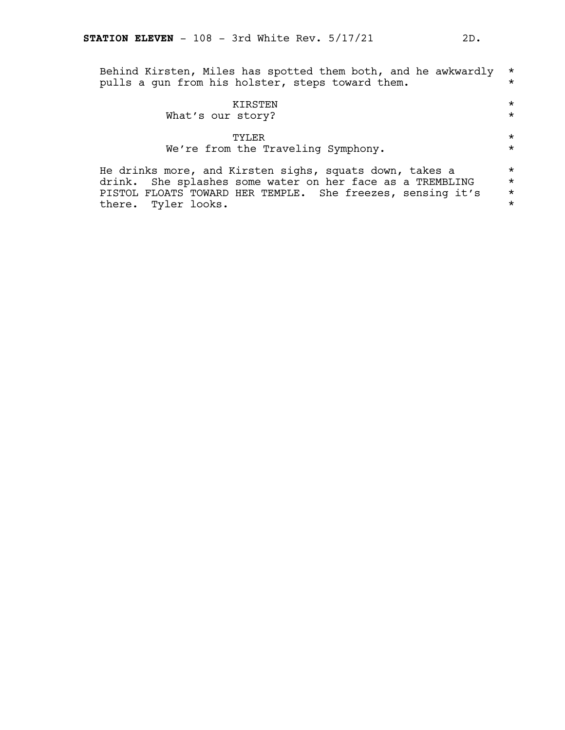Behind Kirsten, Miles has spotted them both, and he awkwardly  $*$  pulls a gun from his holster, steps toward them. pulls a gun from his holster, steps toward them.

## KIRSTEN \* What's our story? TYLER  $\qquad$   $\qquad$   $\qquad$   $\qquad$   $\qquad$   $\qquad$   $\qquad$   $\qquad$   $\qquad$   $\qquad$   $\qquad$   $\qquad$   $\qquad$   $\qquad$   $\qquad$   $\qquad$   $\qquad$   $\qquad$   $\qquad$   $\qquad$   $\qquad$   $\qquad$   $\qquad$   $\qquad$   $\qquad$   $\qquad$   $\qquad$   $\qquad$   $\qquad$   $\qquad$   $\qquad$   $\qquad$   $\qquad$   $\qquad$   $\qquad$   $\qquad$ We're from the Traveling Symphony.  $*$

He drinks more, and Kirsten sighs, squats down, takes a  $*$   $*$  drink. She splashes some water on her face as a TREMBLING  $*$ drink. She splashes some water on her face as a TREMBLING  $*$  PISTOL FLOATS TOWARD HER TEMPLE. She freezes, sensing it's  $*$ PISTOL FLOATS TOWARD HER TEMPLE. She freezes, sensing it's  $*$ <br>there. Tyler looks. there. Tyler looks.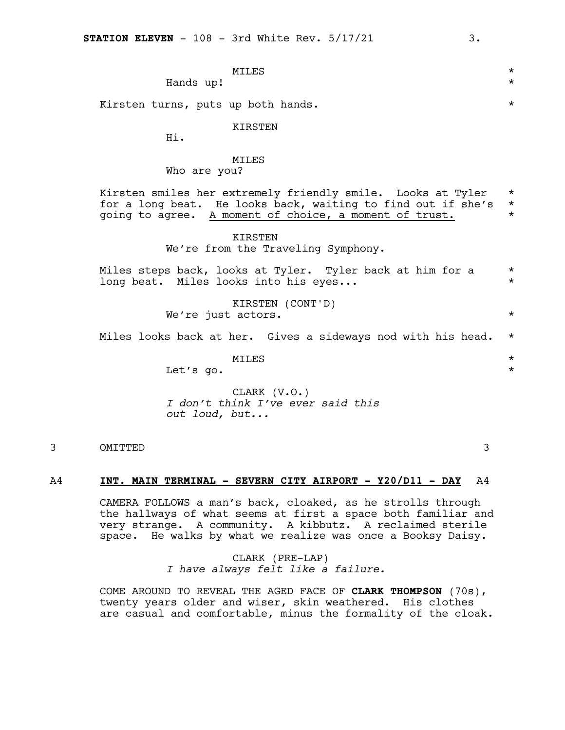| MTLES<br>Hands up!                                                                                                                                                                    | $\star$<br>$\star$            |
|---------------------------------------------------------------------------------------------------------------------------------------------------------------------------------------|-------------------------------|
| Kirsten turns, puts up both hands.                                                                                                                                                    | $\star$                       |
| KIRSTEN<br>Hi.                                                                                                                                                                        |                               |
| MILES<br>Who are you?                                                                                                                                                                 |                               |
| Kirsten smiles her extremely friendly smile. Looks at Tyler<br>for a long beat. He looks back, waiting to find out if she's<br>going to agree. A moment of choice, a moment of trust. | $\star$<br>$\star$<br>$\star$ |
| KIRSTEN<br>We're from the Traveling Symphony.                                                                                                                                         |                               |
| Miles steps back, looks at Tyler. Tyler back at him for a<br>long beat. Miles looks into his eyes                                                                                     | $\star$<br>$\star$            |
| KIRSTEN (CONT'D)<br>We're just actors.                                                                                                                                                | $\star$                       |
| Miles looks back at her. Gives a sideways nod with his head.                                                                                                                          | $\star$                       |
| <b>MILES</b><br>Let's go.                                                                                                                                                             | $\star$<br>$^\star$           |
| CLARK (V.O.)<br>I don't think I've ever said this                                                                                                                                     |                               |

### 3 OMITTED 3

### A4 **INT. MAIN TERMINAL - SEVERN CITY AIRPORT - Y20/D11 - DAY** A4

*out loud, but...*

CAMERA FOLLOWS a man's back, cloaked, as he strolls through the hallways of what seems at first a space both familiar and very strange. A community. A kibbutz. A reclaimed sterile space. He walks by what we realize was once a Booksy Daisy.

> CLARK (PRE-LAP) *I have always felt like a failure.*

COME AROUND TO REVEAL THE AGED FACE OF **CLARK THOMPSON** (70s), twenty years older and wiser, skin weathered. His clothes are casual and comfortable, minus the formality of the cloak.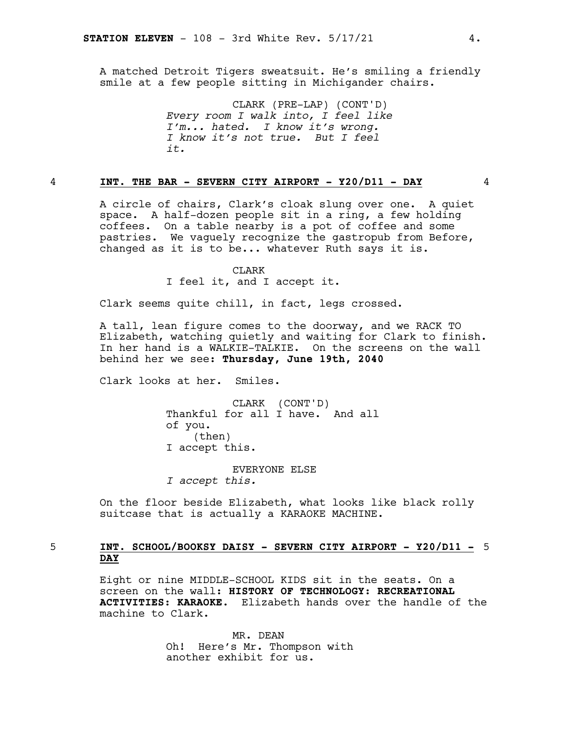A matched Detroit Tigers sweatsuit. He's smiling a friendly smile at a few people sitting in Michigander chairs.

> CLARK (PRE-LAP) (CONT'D) *Every room I walk into, I feel like I'm... hated. I know it's wrong. I know it's not true. But I feel it.*

### 4 **INT. THE BAR - SEVERN CITY AIRPORT - Y20/D11 - DAY** 4

A circle of chairs, Clark's cloak slung over one. A quiet space. A half-dozen people sit in a ring, a few holding coffees. On a table nearby is a pot of coffee and some pastries. We vaguely recognize the gastropub from Before, changed as it is to be... whatever Ruth says it is.

CLARK

I feel it, and I accept it.

Clark seems quite chill, in fact, legs crossed.

A tall, lean figure comes to the doorway, and we RACK TO Elizabeth, watching quietly and waiting for Clark to finish. In her hand is a WALKIE-TALKIE. On the screens on the wall behind her we see: **Thursday, June 19th, 2040**

Clark looks at her. Smiles.

CLARK (CONT'D) Thankful for all I have. And all of you. (then) I accept this.

EVERYONE ELSE *I accept this.*

On the floor beside Elizabeth, what looks like black rolly suitcase that is actually a KARAOKE MACHINE.

### 5 **INT. SCHOOL/BOOKSY DAISY - SEVERN CITY AIRPORT - Y20/D11 -** 5 **DAY**

Eight or nine MIDDLE-SCHOOL KIDS sit in the seats. On a screen on the wall: **HISTORY OF TECHNOLOGY: RECREATIONAL ACTIVITIES: KARAOKE**. Elizabeth hands over the handle of the machine to Clark.

> MR. DEAN Oh! Here's Mr. Thompson with another exhibit for us.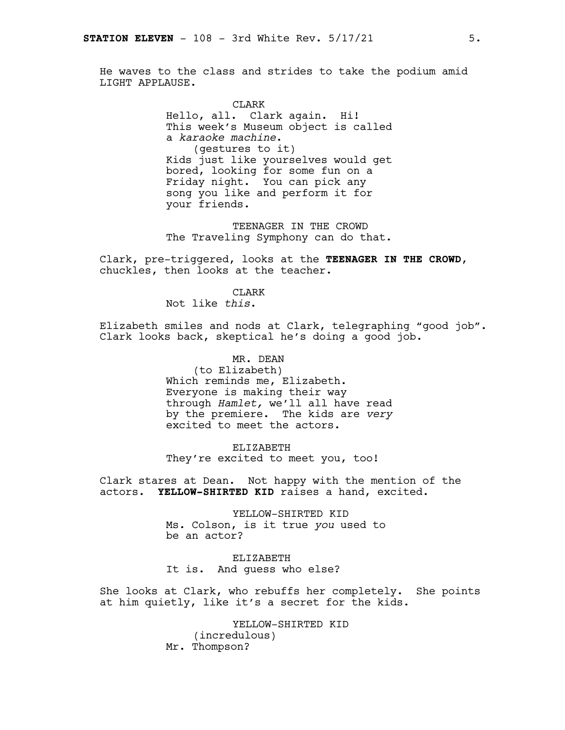He waves to the class and strides to take the podium amid LIGHT APPLAUSE.

> CLARK Hello, all. Clark again. Hi! This week's Museum object is called a *karaoke machine*. (gestures to it) Kids just like yourselves would get bored, looking for some fun on a Friday night. You can pick any song you like and perform it for your friends.

TEENAGER IN THE CROWD The Traveling Symphony can do that.

Clark, pre-triggered, looks at the **TEENAGER IN THE CROWD**, chuckles, then looks at the teacher.

**CLARK** 

Not like *this*.

Elizabeth smiles and nods at Clark, telegraphing "good job". Clark looks back, skeptical he's doing a good job.

> MR. DEAN (to Elizabeth) Which reminds me, Elizabeth. Everyone is making their way through *Hamlet,* we'll all have read by the premiere. The kids are *very* excited to meet the actors.

ELIZABETH They're excited to meet you, too!

Clark stares at Dean. Not happy with the mention of the actors. **YELLOW-SHIRTED KID** raises a hand, excited.

> YELLOW-SHIRTED KID Ms. Colson, is it true *you* used to be an actor?

ELIZABETH It is. And guess who else?

She looks at Clark, who rebuffs her completely. She points at him quietly, like it's a secret for the kids.

> YELLOW-SHIRTED KID (incredulous) Mr. Thompson?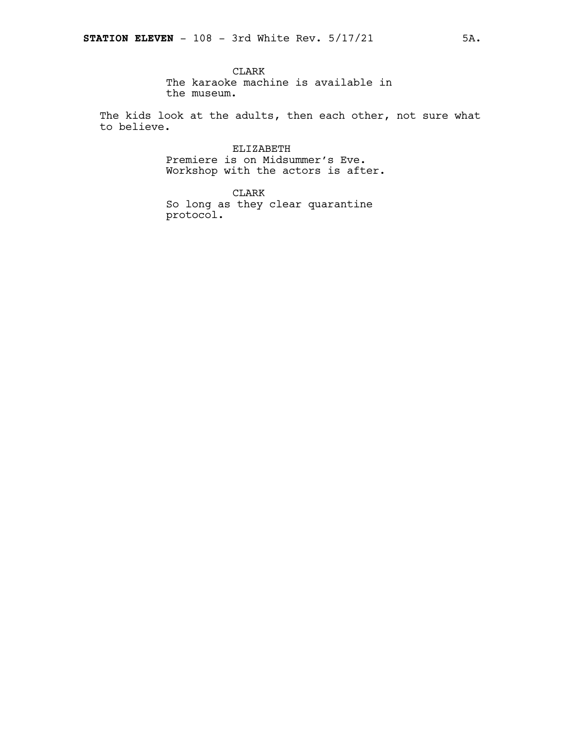CLARK The karaoke machine is available in the museum.

The kids look at the adults, then each other, not sure what to believe.

> ELIZABETH Premiere is on Midsummer's Eve. Workshop with the actors is after.

CLARK So long as they clear quarantine protocol.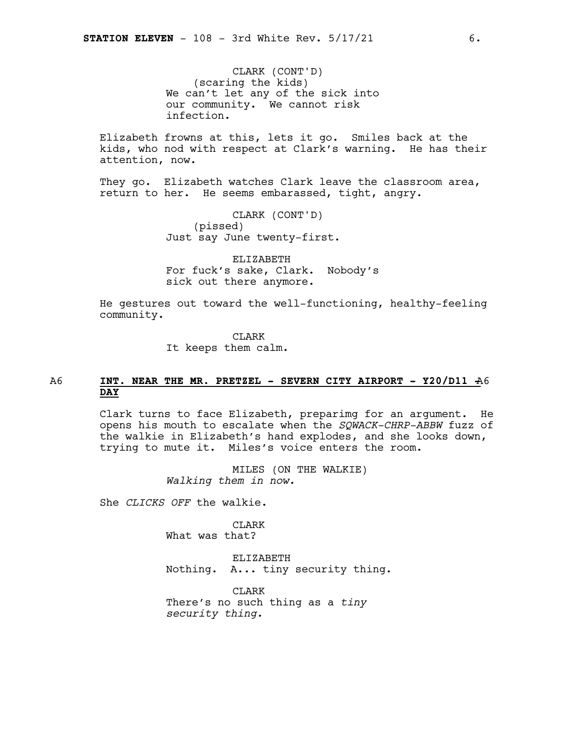CLARK (CONT'D) (scaring the kids) We can't let any of the sick into our community. We cannot risk infection.

Elizabeth frowns at this, lets it go. Smiles back at the kids, who nod with respect at Clark's warning. He has their attention, now.

They go. Elizabeth watches Clark leave the classroom area, return to her. He seems embarassed, tight, angry.

> CLARK (CONT'D) (pissed) Just say June twenty-first.

ELIZABETH For fuck's sake, Clark. Nobody's sick out there anymore.

He gestures out toward the well-functioning, healthy-feeling community.

> **CLARK** It keeps them calm.

### A6 **INT. NEAR THE MR. PRETZEL - SEVERN CITY AIRPORT - Y20/D11 -**A6 **DAY**

Clark turns to face Elizabeth, preparimg for an argument. He opens his mouth to escalate when the *SQWACK-CHRP-ABBW* fuzz of the walkie in Elizabeth's hand explodes, and she looks down, trying to mute it. Miles's voice enters the room.

> MILES (ON THE WALKIE) *Walking them in now.*

She *CLICKS OFF* the walkie.

CLARK What was that?

ELIZABETH Nothing. A... tiny security thing.

CLARK There's no such thing as a *tiny security thing.*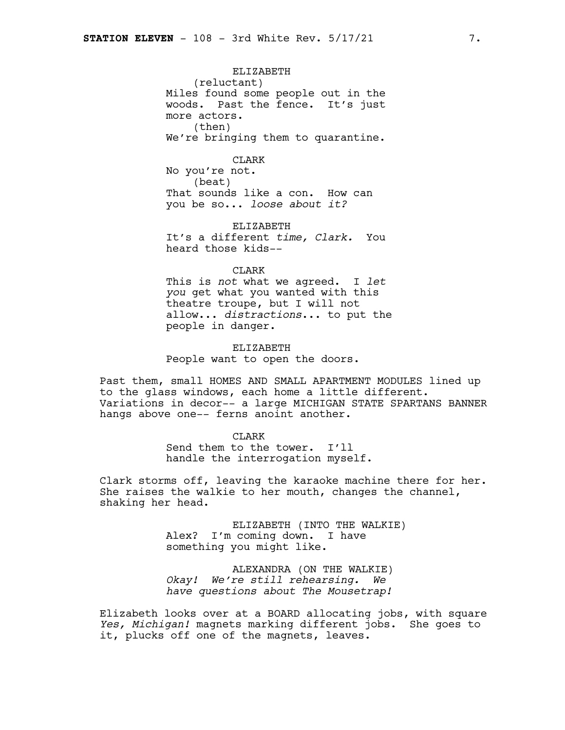ELIZABETH (reluctant) Miles found some people out in the woods. Past the fence. It's just more actors. (then) We're bringing them to quarantine.

CLARK No you're not. (beat) That sounds like a con. How can you be so... *loose about it?*

ELIZABETH It's a different *time, Clark.* You heard those kids--

CLARK

This is *not* what we agreed. I *let you* get what you wanted with this theatre troupe, but I will not allow... *distractions*... to put the people in danger.

ELIZABETH People want to open the doors.

Past them, small HOMES AND SMALL APARTMENT MODULES lined up to the glass windows, each home a little different. Variations in decor-- a large MICHIGAN STATE SPARTANS BANNER hangs above one-- ferns anoint another.

> **CLARK** Send them to the tower. I'll handle the interrogation myself.

Clark storms off, leaving the karaoke machine there for her. She raises the walkie to her mouth, changes the channel, shaking her head.

> ELIZABETH (INTO THE WALKIE) Alex? I'm coming down. I have something you might like.

ALEXANDRA (ON THE WALKIE) *Okay! We're still rehearsing. We have questions about The Mousetrap!*

Elizabeth looks over at a BOARD allocating jobs, with square *Yes, Michigan!* magnets marking different jobs. She goes to it, plucks off one of the magnets, leaves.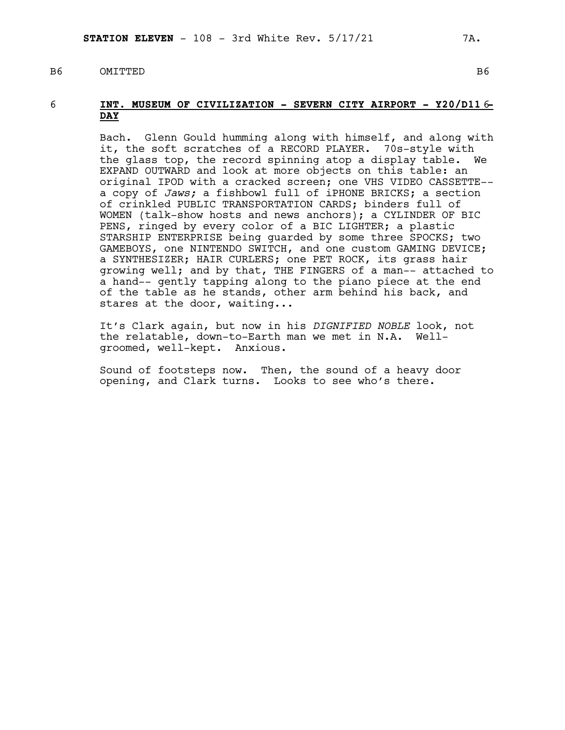### B6 OMITTED B6

### 6 **INT. MUSEUM OF CIVILIZATION - SEVERN CITY AIRPORT - Y20/D11** 6**- DAY**

Bach. Glenn Gould humming along with himself, and along with it, the soft scratches of a RECORD PLAYER. 70s-style with the glass top, the record spinning atop a display table. We EXPAND OUTWARD and look at more objects on this table: an original IPOD with a cracked screen; one VHS VIDEO CASSETTE- a copy of *Jaws;* a fishbowl full of iPHONE BRICKS; a section of crinkled PUBLIC TRANSPORTATION CARDS; binders full of WOMEN (talk-show hosts and news anchors); a CYLINDER OF BIC PENS, ringed by every color of a BIC LIGHTER; a plastic STARSHIP ENTERPRISE being guarded by some three SPOCKS; two GAMEBOYS, one NINTENDO SWITCH, and one custom GAMING DEVICE; a SYNTHESIZER; HAIR CURLERS; one PET ROCK, its grass hair growing well; and by that, THE FINGERS of a man-- attached to a hand-- gently tapping along to the piano piece at the end of the table as he stands, other arm behind his back, and stares at the door, waiting...

It's Clark again, but now in his *DIGNIFIED NOBLE* look, not the relatable, down-to-Earth man we met in N.A. Wellgroomed, well-kept. Anxious.

Sound of footsteps now. Then, the sound of a heavy door opening, and Clark turns. Looks to see who's there.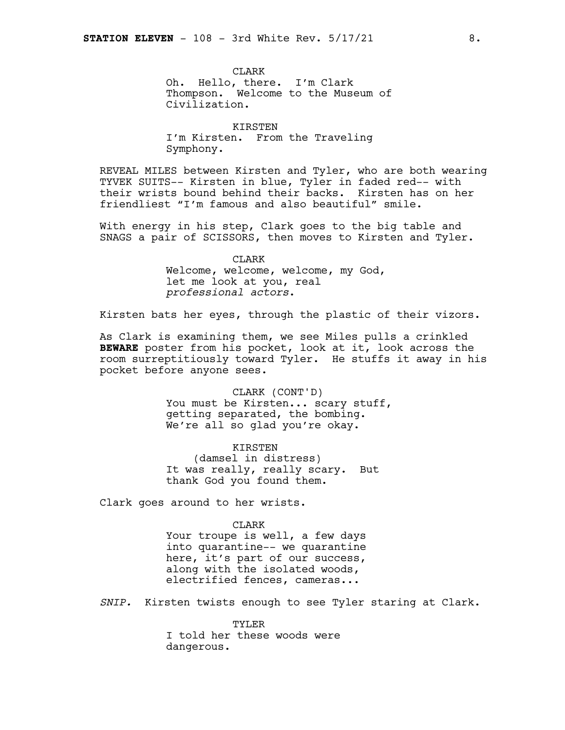CLARK Oh. Hello, there. I'm Clark Thompson. Welcome to the Museum of Civilization.

KIRSTEN I'm Kirsten. From the Traveling Symphony.

REVEAL MILES between Kirsten and Tyler, who are both wearing TYVEK SUITS-- Kirsten in blue, Tyler in faded red-- with their wrists bound behind their backs. Kirsten has on her friendliest "I'm famous and also beautiful" smile.

With energy in his step, Clark goes to the big table and SNAGS a pair of SCISSORS, then moves to Kirsten and Tyler.

> CLARK Welcome, welcome, welcome, my God, let me look at you, real *professional actors*.

Kirsten bats her eyes, through the plastic of their vizors.

As Clark is examining them, we see Miles pulls a crinkled **BEWARE** poster from his pocket, look at it, look across the room surreptitiously toward Tyler. He stuffs it away in his pocket before anyone sees.

> CLARK (CONT'D) You must be Kirsten... scary stuff, getting separated, the bombing. We're all so glad you're okay.

KIRSTEN (damsel in distress) It was really, really scary. But thank God you found them.

Clark goes around to her wrists.

### CLARK

Your troupe is well, a few days into quarantine-- we quarantine here, it's part of our success, along with the isolated woods, electrified fences, cameras...

*SNIP.* Kirsten twists enough to see Tyler staring at Clark.

TYLER I told her these woods were dangerous.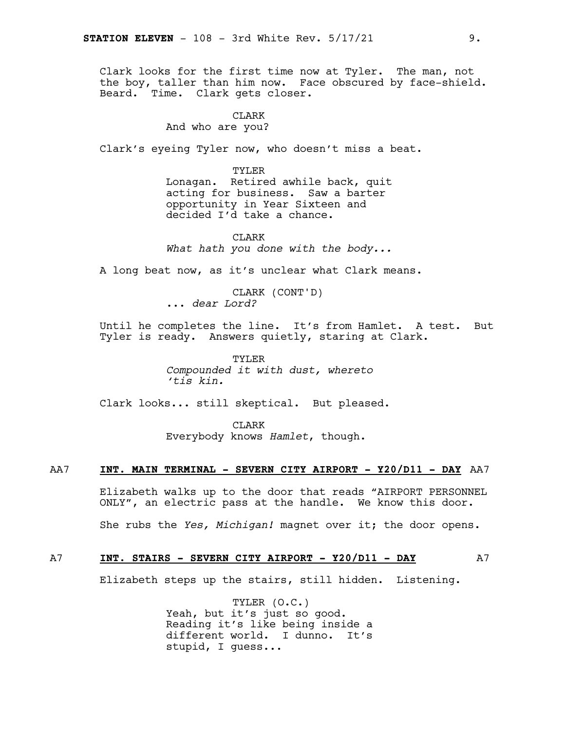Clark looks for the first time now at Tyler. The man, not the boy, taller than him now. Face obscured by face-shield. Beard. Time. Clark gets closer.

### CLARK And who are you?

Clark's eyeing Tyler now, who doesn't miss a beat.

TYLER Lonagan. Retired awhile back, quit acting for business. Saw a barter opportunity in Year Sixteen and decided I'd take a chance.

**CLARK** *What hath you done with the body...*

A long beat now, as it's unclear what Clark means.

CLARK (CONT'D) ... *dear Lord?*

Until he completes the line. It's from Hamlet. A test. But Tyler is ready. Answers quietly, staring at Clark.

> TYLER *Compounded it with dust, whereto 'tis kin.*

Clark looks... still skeptical. But pleased.

CLARK Everybody knows *Hamlet*, though.

### AA7 **INT. MAIN TERMINAL - SEVERN CITY AIRPORT - Y20/D11 - DAY** AA7

Elizabeth walks up to the door that reads "AIRPORT PERSONNEL ONLY", an electric pass at the handle. We know this door.

She rubs the *Yes, Michigan!* magnet over it; the door opens.

### A7 **INT. STAIRS - SEVERN CITY AIRPORT - Y20/D11 - DAY** A7

Elizabeth steps up the stairs, still hidden. Listening.

TYLER (O.C.) Yeah, but it's just so good. Reading it's like being inside a different world. I dunno. It's stupid, I guess...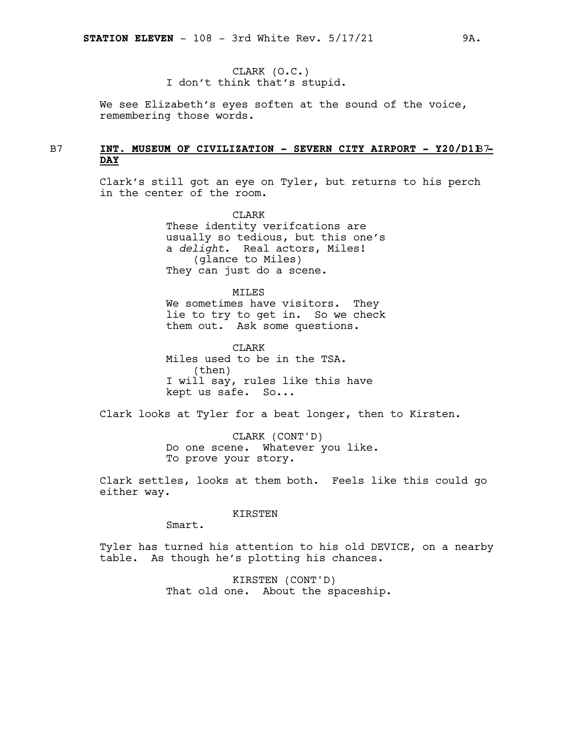CLARK (O.C.) I don't think that's stupid.

We see Elizabeth's eyes soften at the sound of the voice, remembering those words.

### B7 **INT. MUSEUM OF CIVILIZATION - SEVERN CITY AIRPORT - Y20/D11**B7**- DAY**

Clark's still got an eye on Tyler, but returns to his perch in the center of the room.

> **CLARK** These identity verifcations are usually so tedious, but this one's a *delight*. Real actors, Miles! (glance to Miles) They can just do a scene.

> **MILES** We sometimes have visitors. They lie to try to get in. So we check them out. Ask some questions.

**CLARK** Miles used to be in the TSA. (then) I will say, rules like this have kept us safe. So...

Clark looks at Tyler for a beat longer, then to Kirsten.

CLARK (CONT'D) Do one scene. Whatever you like. To prove your story.

Clark settles, looks at them both. Feels like this could go either way.

KIRSTEN

Smart.

Tyler has turned his attention to his old DEVICE, on a nearby table. As though he's plotting his chances.

> KIRSTEN (CONT'D) That old one. About the spaceship.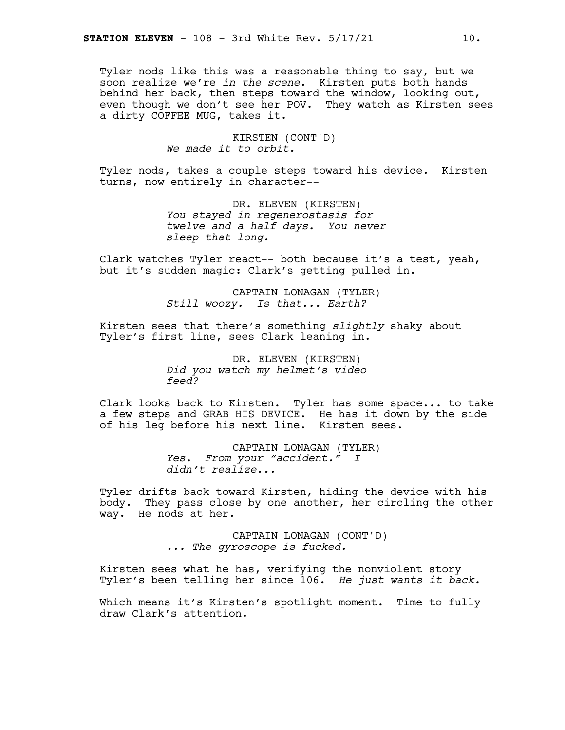Tyler nods like this was a reasonable thing to say, but we soon realize we're *in the scene*. Kirsten puts both hands behind her back, then steps toward the window, looking out, even though we don't see her POV. They watch as Kirsten sees a dirty COFFEE MUG, takes it.

### KIRSTEN (CONT'D) *We made it to orbit.*

Tyler nods, takes a couple steps toward his device. Kirsten turns, now entirely in character--

> DR. ELEVEN (KIRSTEN) *You stayed in regenerostasis for twelve and a half days. You never sleep that long.*

Clark watches Tyler react-- both because it's a test, yeah, but it's sudden magic: Clark's getting pulled in.

> CAPTAIN LONAGAN (TYLER) *Still woozy. Is that... Earth?*

Kirsten sees that there's something *slightly* shaky about Tyler's first line, sees Clark leaning in.

> DR. ELEVEN (KIRSTEN) *Did you watch my helmet's video feed?*

Clark looks back to Kirsten. Tyler has some space... to take a few steps and GRAB HIS DEVICE. He has it down by the side of his leg before his next line. Kirsten sees.

> CAPTAIN LONAGAN (TYLER) *Yes. From your "accident." I didn't realize...*

Tyler drifts back toward Kirsten, hiding the device with his body. They pass close by one another, her circling the other way. He nods at her.

> CAPTAIN LONAGAN (CONT'D) *... The gyroscope is fucked.*

Kirsten sees what he has, verifying the nonviolent story Tyler's been telling her since 106. *He just wants it back.*

Which means it's Kirsten's spotlight moment. Time to fully draw Clark's attention.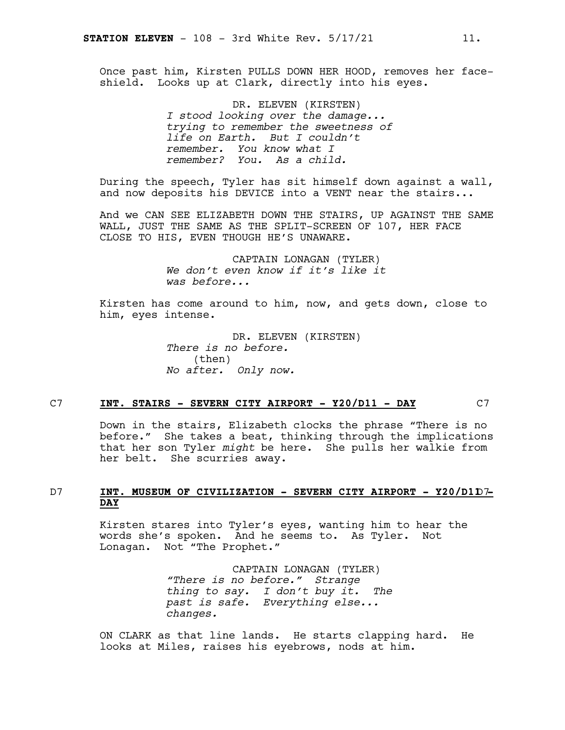Once past him, Kirsten PULLS DOWN HER HOOD, removes her faceshield. Looks up at Clark, directly into his eyes.

> DR. ELEVEN (KIRSTEN) *I stood looking over the damage... trying to remember the sweetness of life on Earth. But I couldn't remember. You know what I remember? You. As a child.*

During the speech, Tyler has sit himself down against a wall, and now deposits his DEVICE into a VENT near the stairs...

And we CAN SEE ELIZABETH DOWN THE STAIRS, UP AGAINST THE SAME WALL, JUST THE SAME AS THE SPLIT-SCREEN OF 107, HER FACE CLOSE TO HIS, EVEN THOUGH HE'S UNAWARE.

> CAPTAIN LONAGAN (TYLER) *We don't even know if it's like it was before...*

Kirsten has come around to him, now, and gets down, close to him, eyes intense.

> DR. ELEVEN (KIRSTEN) *There is no before.* (then) *No after. Only now.*

### C7 **INT. STAIRS - SEVERN CITY AIRPORT - Y20/D11 - DAY** C7

Down in the stairs, Elizabeth clocks the phrase "There is no before." She takes a beat, thinking through the implications that her son Tyler *might* be here. She pulls her walkie from her belt. She scurries away.

### D7 **INT. MUSEUM OF CIVILIZATION - SEVERN CITY AIRPORT - Y20/D11**D7**- DAY**

Kirsten stares into Tyler's eyes, wanting him to hear the words she's spoken. And he seems to. As Tyler. Not Lonagan. Not "The Prophet."

> CAPTAIN LONAGAN (TYLER) *"There is no before." Strange thing to say. I don't buy it. The past is safe. Everything else... changes.*

ON CLARK as that line lands. He starts clapping hard. He looks at Miles, raises his eyebrows, nods at him.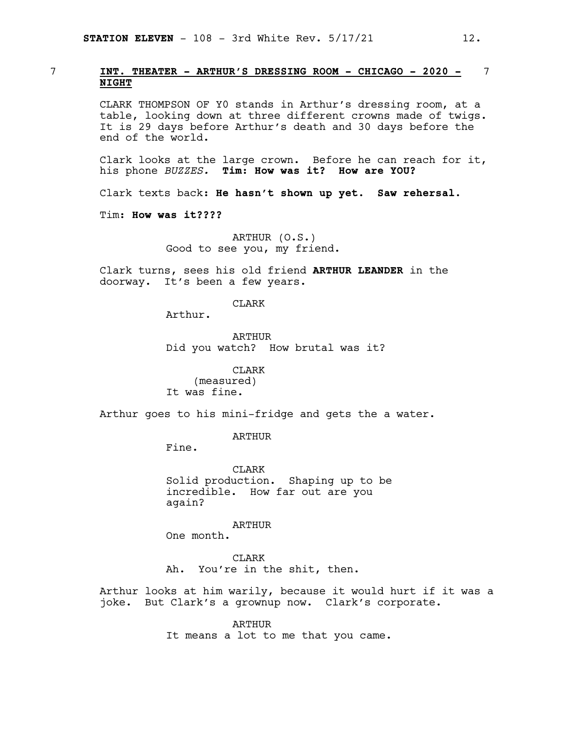### 7 **INT. THEATER - ARTHUR'S DRESSING ROOM - CHICAGO - 2020 -** 7 **NIGHT**

CLARK THOMPSON OF Y0 stands in Arthur's dressing room, at a table, looking down at three different crowns made of twigs. It is 29 days before Arthur's death and 30 days before the end of the world.

Clark looks at the large crown. Before he can reach for it, his phone *BUZZES.* **Tim: How was it? How are YOU?**

Clark texts back: **He hasn't shown up yet. Saw rehersal.**

Tim: **How was it????**

ARTHUR (O.S.) Good to see you, my friend.

Clark turns, sees his old friend **ARTHUR LEANDER** in the doorway. It's been a few years.

CLARK

Arthur.

ARTHUR Did you watch? How brutal was it?

CLARK (measured) It was fine.

Arthur goes to his mini-fridge and gets the a water.

ARTHUR

Fine.

CLARK Solid production. Shaping up to be incredible. How far out are you again?

ARTHUR

One month.

CLARK

Ah. You're in the shit, then.

Arthur looks at him warily, because it would hurt if it was a joke. But Clark's a grownup now. Clark's corporate.

> ARTHUR It means a lot to me that you came.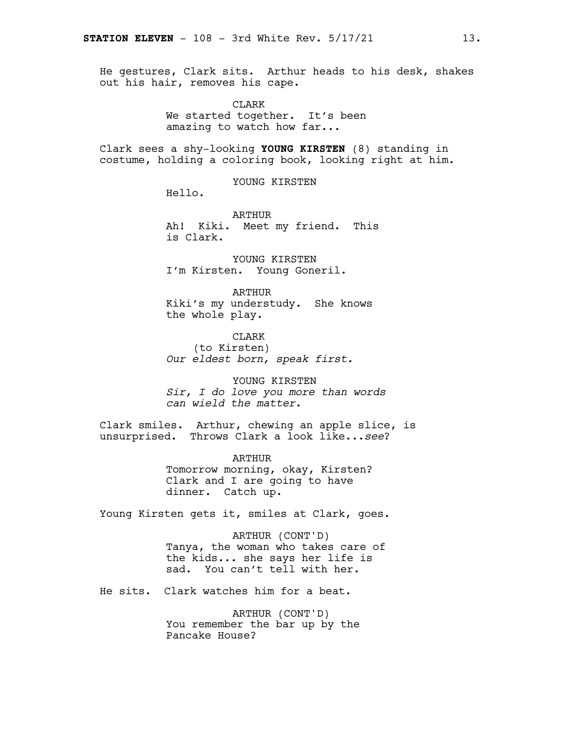He gestures, Clark sits. Arthur heads to his desk, shakes out his hair, removes his cape.

> CLARK We started together. It's been amazing to watch how far...

Clark sees a shy-looking **YOUNG KIRSTEN** (8) standing in costume, holding a coloring book, looking right at him.

YOUNG KIRSTEN

Hello.

ARTHUR Ah! Kiki. Meet my friend. This is Clark.

YOUNG KIRSTEN I'm Kirsten. Young Goneril.

ARTHUR Kiki's my understudy. She knows the whole play.

**CLARK** (to Kirsten) *Our eldest born, speak first.*

YOUNG KIRSTEN *Sir, I do love you more than words can wield the matter*.

Clark smiles. Arthur, chewing an apple slice, is unsurprised. Throws Clark a look like...*see*?

> ARTHUR Tomorrow morning, okay, Kirsten? Clark and I are going to have dinner. Catch up.

Young Kirsten gets it, smiles at Clark, goes.

ARTHUR (CONT'D) Tanya, the woman who takes care of the kids... she says her life is sad. You can't tell with her.

He sits. Clark watches him for a beat.

ARTHUR (CONT'D) You remember the bar up by the Pancake House?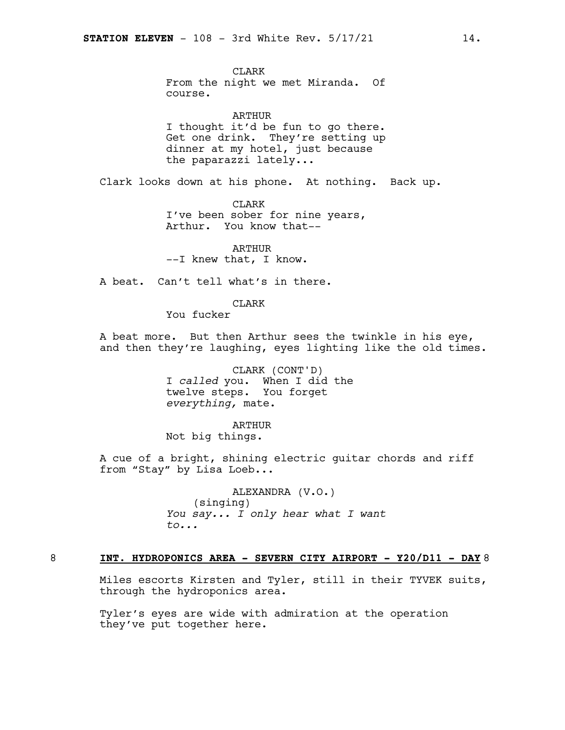**CLARK** 

From the night we met Miranda. Of course.

ARTHUR I thought it'd be fun to go there. Get one drink. They're setting up dinner at my hotel, just because the paparazzi lately...

Clark looks down at his phone. At nothing. Back up.

CLARK I've been sober for nine years, Arthur. You know that--

ARTHUR --I knew that, I know.

A beat. Can't tell what's in there.

CLARK

You fucker

A beat more. But then Arthur sees the twinkle in his eye, and then they're laughing, eyes lighting like the old times.

> CLARK (CONT'D) I *called* you. When I did the twelve steps. You forget *everything,* mate.

ARTHUR Not big things.

A cue of a bright, shining electric guitar chords and riff from "Stay" by Lisa Loeb...

> ALEXANDRA (V.O.) (singing) *You say... I only hear what I want to...*

### 8 **INT. HYDROPONICS AREA - SEVERN CITY AIRPORT - Y20/D11 - DAY** 8

Miles escorts Kirsten and Tyler, still in their TYVEK suits, through the hydroponics area.

Tyler's eyes are wide with admiration at the operation they've put together here.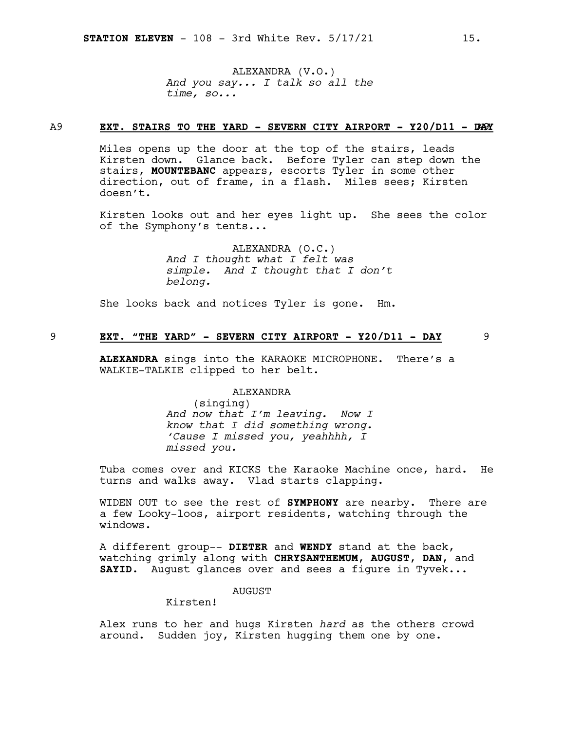ALEXANDRA (V.O.) *And you say... I talk so all the time, so...*

### A9 **EXT. STAIRS TO THE YARD - SEVERN CITY AIRPORT - Y20/D11 - D**A9**AY**

Miles opens up the door at the top of the stairs, leads Kirsten down. Glance back. Before Tyler can step down the stairs, **MOUNTEBANC** appears, escorts Tyler in some other direction, out of frame, in a flash. Miles sees; Kirsten doesn't.

Kirsten looks out and her eyes light up. She sees the color of the Symphony's tents...

> ALEXANDRA (O.C.) *And I thought what I felt was simple. And I thought that I don't belong.*

She looks back and notices Tyler is gone. Hm.

### 9 **EXT. "THE YARD" - SEVERN CITY AIRPORT - Y20/D11 - DAY** 9

**ALEXANDRA** sings into the KARAOKE MICROPHONE. There's a WALKIE-TALKIE clipped to her belt.

ALEXANDRA

(singing) *And now that I'm leaving. Now I know that I did something wrong. 'Cause I missed you, yeahhhh, I missed you.*

Tuba comes over and KICKS the Karaoke Machine once, hard. He turns and walks away. Vlad starts clapping.

WIDEN OUT to see the rest of **SYMPHONY** are nearby. There are a few Looky-loos, airport residents, watching through the windows.

A different group-- **DIETER** and **WENDY** stand at the back, watching grimly along with **CHRYSANTHEMUM**, **AUGUST**, **DAN**, and **SAYID**. August glances over and sees a figure in Tyvek...

AUGUST

Kirsten!

Alex runs to her and hugs Kirsten *hard* as the others crowd around. Sudden joy, Kirsten hugging them one by one.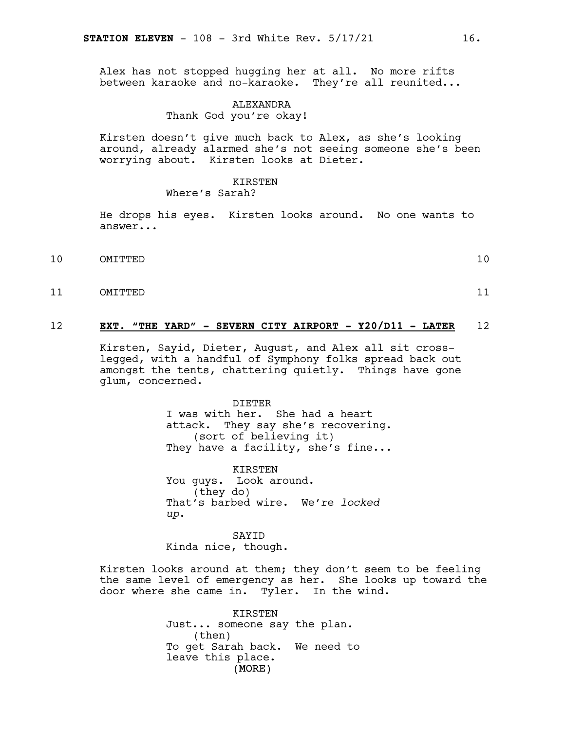Alex has not stopped hugging her at all. No more rifts between karaoke and no-karaoke. They're all reunited...

### **ALEXANDRA** Thank God you're okay!

Kirsten doesn't give much back to Alex, as she's looking around, already alarmed she's not seeing someone she's been worrying about. Kirsten looks at Dieter.

### KIRSTEN Where's Sarah?

He drops his eyes. Kirsten looks around. No one wants to answer...

10 OMITTED 10

11 OMITTED 11

### 12 **EXT. "THE YARD" - SEVERN CITY AIRPORT - Y20/D11 - LATER** 12

Kirsten, Sayid, Dieter, August, and Alex all sit crosslegged, with a handful of Symphony folks spread back out amongst the tents, chattering quietly. Things have gone glum, concerned.

> DIETER I was with her. She had a heart attack. They say she's recovering. (sort of believing it) They have a facility, she's fine...

KIRSTEN You guys. Look around. (they do) That's barbed wire. We're *locked up*.

SAYID Kinda nice, though.

Kirsten looks around at them; they don't seem to be feeling the same level of emergency as her. She looks up toward the door where she came in. Tyler. In the wind.

> (MORE) KIRSTEN Just... someone say the plan. (then) To get Sarah back. We need to leave this place.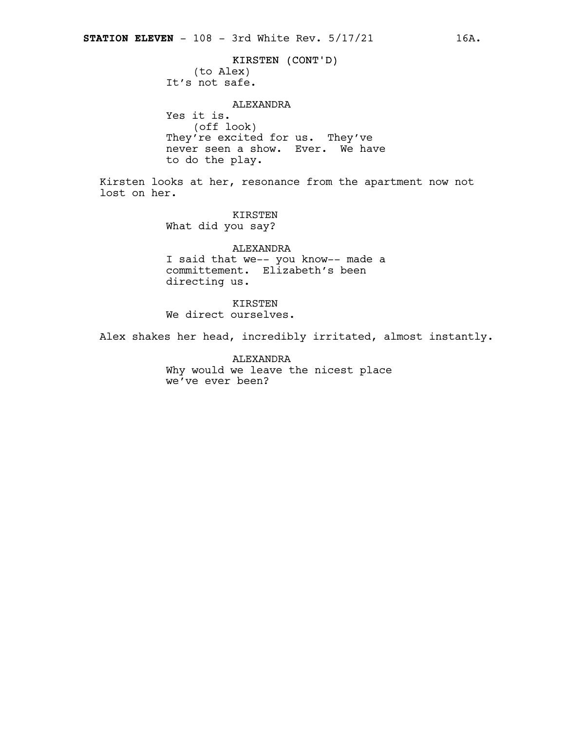KIRSTEN (CONT'D) (to Alex) It's not safe.

ALEXANDRA Yes it is. (off look) They're excited for us. They've never seen a show. Ever. We have to do the play.

Kirsten looks at her, resonance from the apartment now not lost on her.

> KIRSTEN What did you say?

ALEXANDRA I said that we-- you know-- made a committement. Elizabeth's been directing us.

KIRSTEN We direct ourselves.

Alex shakes her head, incredibly irritated, almost instantly.

ALEXANDRA Why would we leave the nicest place we've ever been?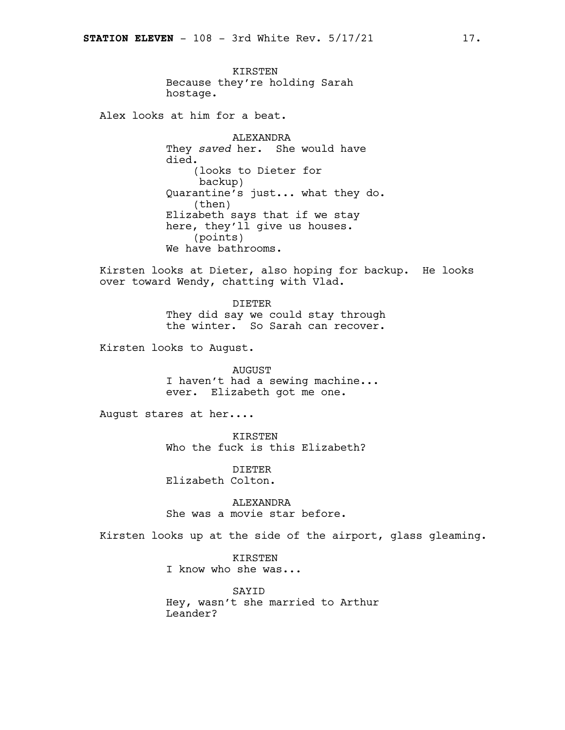KIRSTEN Because they're holding Sarah hostage.

Alex looks at him for a beat.

ALEXANDRA They *saved* her. She would have died. (looks to Dieter for backup) Quarantine's just... what they do. (then) Elizabeth says that if we stay here, they'll give us houses. (points) We have bathrooms.

Kirsten looks at Dieter, also hoping for backup. He looks over toward Wendy, chatting with Vlad.

> DIETER They did say we could stay through the winter. So Sarah can recover.

Kirsten looks to August.

AUGUST I haven't had a sewing machine... ever. Elizabeth got me one.

August stares at her....

KIRSTEN Who the fuck is this Elizabeth?

DIETER Elizabeth Colton.

ALEXANDRA She was a movie star before.

Kirsten looks up at the side of the airport, glass gleaming.

KIRSTEN I know who she was...

SAYID Hey, wasn't she married to Arthur Leander?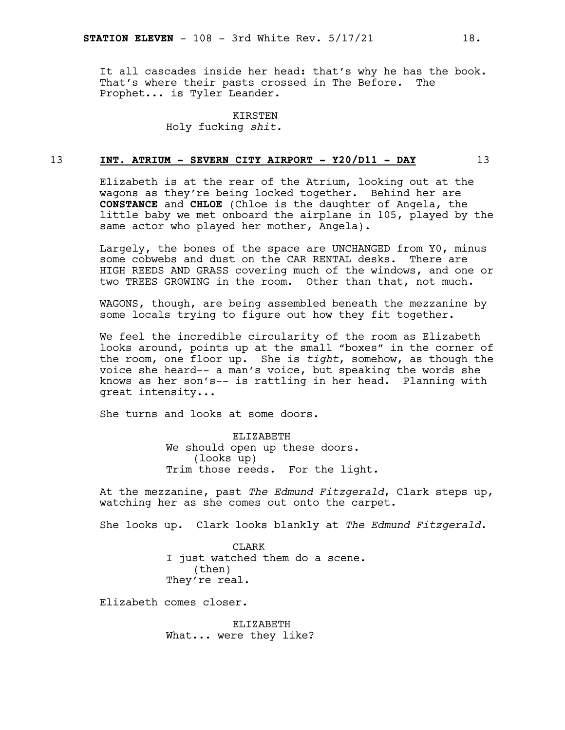It all cascades inside her head: that's why he has the book. That's where their pasts crossed in The Before. The Prophet... is Tyler Leander.

### KIRSTEN Holy fucking *shit.*

### 13 **INT. ATRIUM - SEVERN CITY AIRPORT - Y20/D11 - DAY** 13

Elizabeth is at the rear of the Atrium, looking out at the wagons as they're being locked together. Behind her are **CONSTANCE** and **CHLOE** (Chloe is the daughter of Angela, the little baby we met onboard the airplane in 105, played by the same actor who played her mother, Angela).

Largely, the bones of the space are UNCHANGED from Y0, minus some cobwebs and dust on the CAR RENTAL desks. There are HIGH REEDS AND GRASS covering much of the windows, and one or two TREES GROWING in the room. Other than that, not much.

WAGONS, though, are being assembled beneath the mezzanine by some locals trying to figure out how they fit together.

We feel the incredible circularity of the room as Elizabeth looks around, points up at the small "boxes" in the corner of the room, one floor up. She is *tight*, somehow, as though the voice she heard-- a man's voice, but speaking the words she knows as her son's-- is rattling in her head. Planning with great intensity...

She turns and looks at some doors.

ELIZABETH We should open up these doors. (looks up) Trim those reeds. For the light.

At the mezzanine, past *The Edmund Fitzgerald*, Clark steps up, watching her as she comes out onto the carpet.

She looks up. Clark looks blankly at *The Edmund Fitzgerald*.

CLARK I just watched them do a scene. (then) They're real.

Elizabeth comes closer.

ELIZABETH What... were they like?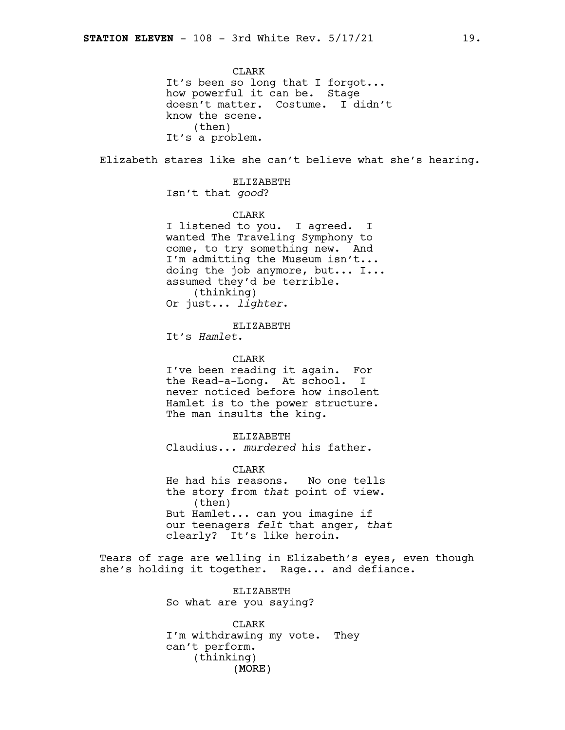CLARK It's been so long that I forgot... how powerful it can be. Stage doesn't matter. Costume. I didn't know the scene. (then) It's a problem.

Elizabeth stares like she can't believe what she's hearing.

ELIZABETH Isn't that *good*?

**CLARK** 

I listened to you. I agreed. I wanted The Traveling Symphony to come, to try something new. And I'm admitting the Museum isn't... doing the job anymore, but... I... assumed they'd be terrible. (thinking) Or just... *lighter*.

ELIZABETH

It's *Hamlet*.

CLARK

I've been reading it again. For the Read-a-Long. At school. I never noticed before how insolent Hamlet is to the power structure. The man insults the king.

ELIZABETH Claudius... *murdered* his father.

CLARK He had his reasons. No one tells the story from *that* point of view. (then) But Hamlet... can you imagine if our teenagers *felt* that anger, *that* clearly? It's like heroin.

Tears of rage are welling in Elizabeth's eyes, even though she's holding it together. Rage... and defiance.

> ELIZABETH So what are you saying?

(MORE) CLARK I'm withdrawing my vote. They can't perform. (thinking)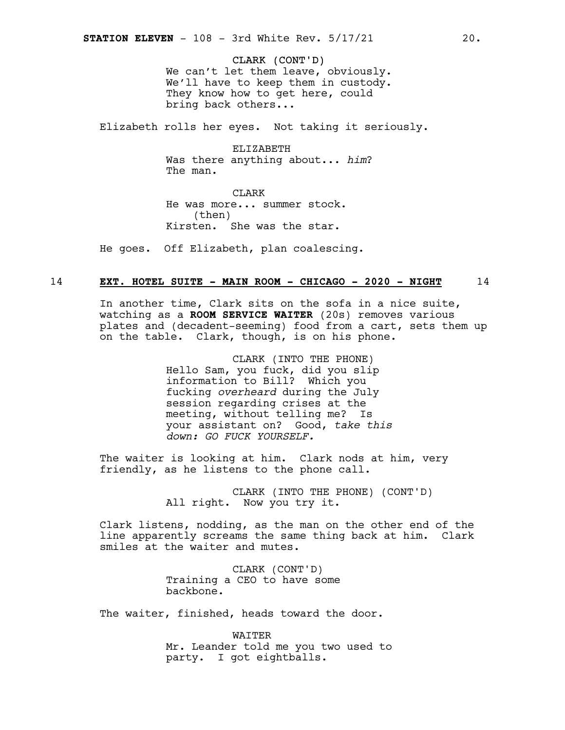### CLARK (CONT'D)

We can't let them leave, obviously. We'll have to keep them in custody. They know how to get here, could bring back others...

Elizabeth rolls her eyes. Not taking it seriously.

ELIZABETH Was there anything about... *him*? The man.

CLARK He was more... summer stock. (then) Kirsten. She was the star.

He goes. Off Elizabeth, plan coalescing.

### 14 **EXT. HOTEL SUITE - MAIN ROOM - CHICAGO - 2020 - NIGHT** 14

In another time, Clark sits on the sofa in a nice suite, watching as a **ROOM SERVICE WAITER** (20s) removes various plates and (decadent-seeming) food from a cart, sets them up on the table. Clark, though, is on his phone.

> CLARK (INTO THE PHONE) Hello Sam, you fuck, did you slip information to Bill? Which you fucking *overheard* during the July session regarding crises at the meeting, without telling me? Is your assistant on? Good, *take this down: GO FUCK YOURSELF.*

The waiter is looking at him. Clark nods at him, very friendly, as he listens to the phone call.

> CLARK (INTO THE PHONE) (CONT'D) All right. Now you try it.

Clark listens, nodding, as the man on the other end of the line apparently screams the same thing back at him. Clark smiles at the waiter and mutes.

> CLARK (CONT'D) Training a CEO to have some backbone.

The waiter, finished, heads toward the door.

WAITER Mr. Leander told me you two used to party. I got eightballs.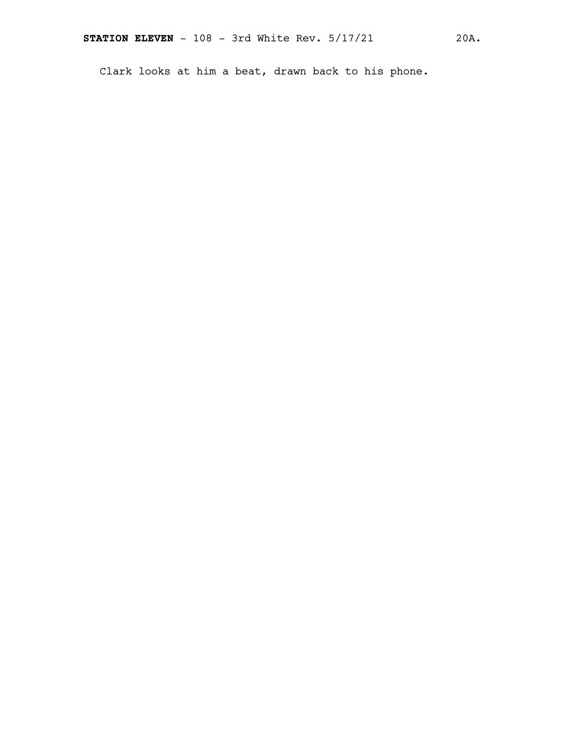Clark looks at him a beat, drawn back to his phone.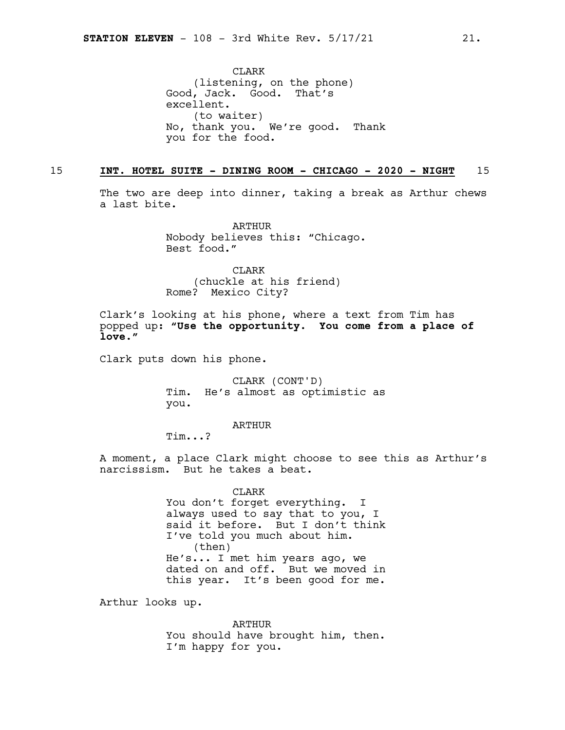CLARK (listening, on the phone) Good, Jack. Good. That's excellent. (to waiter) No, thank you. We're good. Thank you for the food.

### 15 **INT. HOTEL SUITE - DINING ROOM - CHICAGO - 2020 - NIGHT** 15

The two are deep into dinner, taking a break as Arthur chews a last bite.

> ARTHUR Nobody believes this: "Chicago. Best food."

CLARK (chuckle at his friend) Rome? Mexico City?

Clark's looking at his phone, where a text from Tim has popped up: **"Use the opportunity. You come from a place of love."**

Clark puts down his phone.

CLARK (CONT'D) Tim. He's almost as optimistic as you.

ARTHUR

Tim...?

A moment, a place Clark might choose to see this as Arthur's narcissism. But he takes a beat.

> CLARK You don't forget everything. I always used to say that to you, I said it before. But I don't think I've told you much about him. (then) He's... I met him years ago, we dated on and off. But we moved in this year. It's been good for me.

Arthur looks up.

ARTHUR You should have brought him, then. I'm happy for you.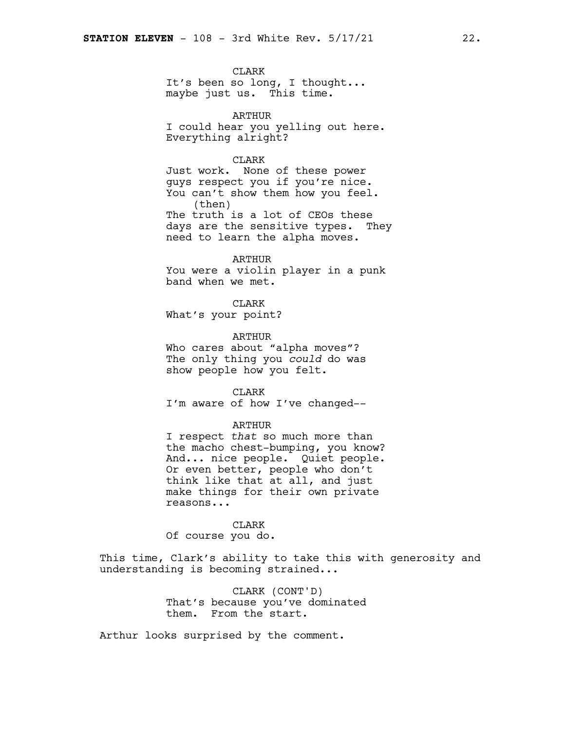CLARK It's been so long, I thought... maybe just us. This time.

ARTHUR I could hear you yelling out here. Everything alright?

### CLARK

Just work. None of these power guys respect you if you're nice. You can't show them how you feel. (then) The truth is a lot of CEOs these days are the sensitive types. They need to learn the alpha moves.

### ARTHUR

You were a violin player in a punk band when we met.

CLARK What's your point?

ARTHUR Who cares about "alpha moves"? The only thing you *could* do was

show people how you felt.

CLARK

I'm aware of how I've changed--

### ARTHUR

I respect *that* so much more than the macho chest-bumping, you know? And... nice people. Quiet people. Or even better, people who don't think like that at all, and just make things for their own private reasons...

### CLARK

Of course you do.

This time, Clark's ability to take this with generosity and understanding is becoming strained...

> CLARK (CONT'D) That's because you've dominated them. From the start.

Arthur looks surprised by the comment.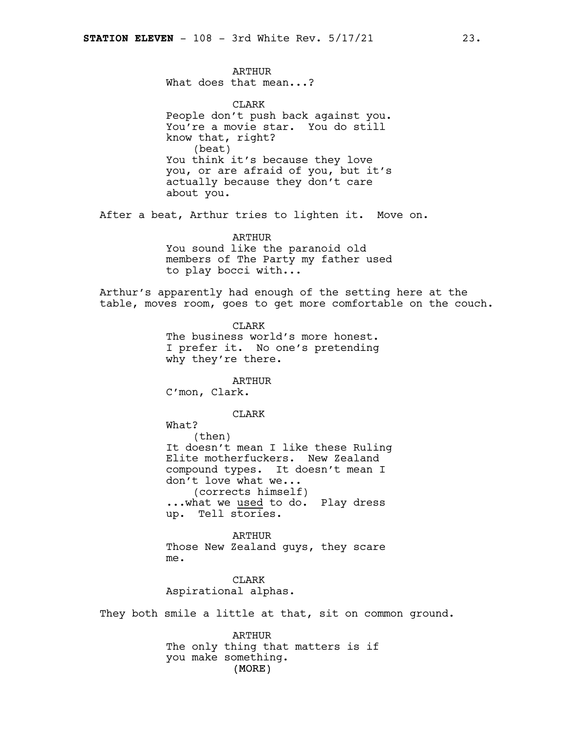ARTHUR What does that mean...?

CLARK People don't push back against you. You're a movie star. You do still know that, right? (beat) You think it's because they love you, or are afraid of you, but it's actually because they don't care about you.

After a beat, Arthur tries to lighten it. Move on.

ARTHUR You sound like the paranoid old members of The Party my father used to play bocci with...

Arthur's apparently had enough of the setting here at the table, moves room, goes to get more comfortable on the couch.

> CLARK The business world's more honest. I prefer it. No one's pretending why they're there.

ARTHUR C'mon, Clark.

### CLARK

What? (then) It doesn't mean I like these Ruling Elite motherfuckers. New Zealand compound types. It doesn't mean I don't love what we... (corrects himself) ...what we used to do. Play dress up. Tell stories.

ARTHUR Those New Zealand guys, they scare me.

CLARK Aspirational alphas.

They both smile a little at that, sit on common ground.

(MORE) ARTHUR The only thing that matters is if you make something.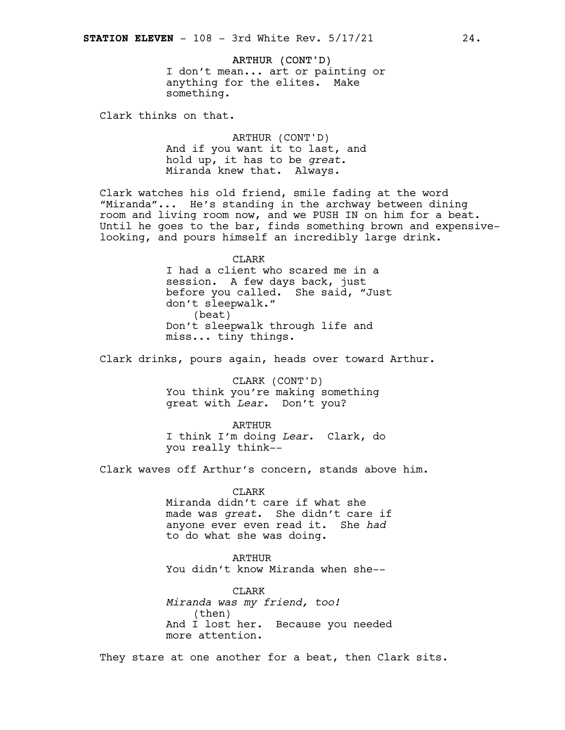ARTHUR (CONT'D) I don't mean... art or painting or anything for the elites. Make something.

Clark thinks on that.

ARTHUR (CONT'D) And if you want it to last, and hold up, it has to be *great*. Miranda knew that. Always.

Clark watches his old friend, smile fading at the word "Miranda"... He's standing in the archway between dining room and living room now, and we PUSH IN on him for a beat. Until he goes to the bar, finds something brown and expensivelooking, and pours himself an incredibly large drink.

> CLARK I had a client who scared me in a session. A few days back, just before you called. She said, "Just don't sleepwalk." (beat) Don't sleepwalk through life and miss... tiny things.

Clark drinks, pours again, heads over toward Arthur.

CLARK (CONT'D) You think you're making something great with *Lear*. Don't you?

ARTHUR I think I'm doing *Lear*. Clark, do you really think--

Clark waves off Arthur's concern, stands above him.

CLARK Miranda didn't care if what she made was *great*. She didn't care if anyone ever even read it. She *had* to do what she was doing.

ARTHUR You didn't know Miranda when she--

CLARK *Miranda was my friend, too!* (then) And I lost her. Because you needed more attention.

They stare at one another for a beat, then Clark sits.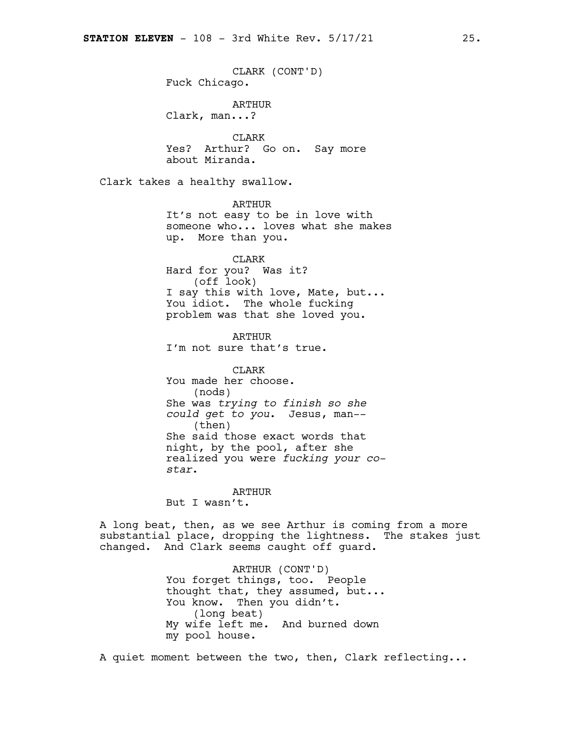CLARK (CONT'D) Fuck Chicago.

ARTHUR Clark, man...?

CLARK Yes? Arthur? Go on. Say more about Miranda.

Clark takes a healthy swallow.

ARTHUR It's not easy to be in love with someone who... loves what she makes up. More than you.

CLARK Hard for you? Was it? (off look) I say this with love, Mate, but... You idiot. The whole fucking problem was that she loved you.

ARTHUR I'm not sure that's true.

CLARK You made her choose. (nods) She was *trying to finish so she could get to you*. Jesus, man-- (then) She said those exact words that night, by the pool, after she realized you were *fucking your costar*.

ARTHUR

But I wasn't.

A long beat, then, as we see Arthur is coming from a more substantial place, dropping the lightness. The stakes just changed. And Clark seems caught off guard.

> ARTHUR (CONT'D) You forget things, too. People thought that, they assumed, but... You know. Then you didn't. (long beat) My wife left me. And burned down my pool house.

A quiet moment between the two, then, Clark reflecting...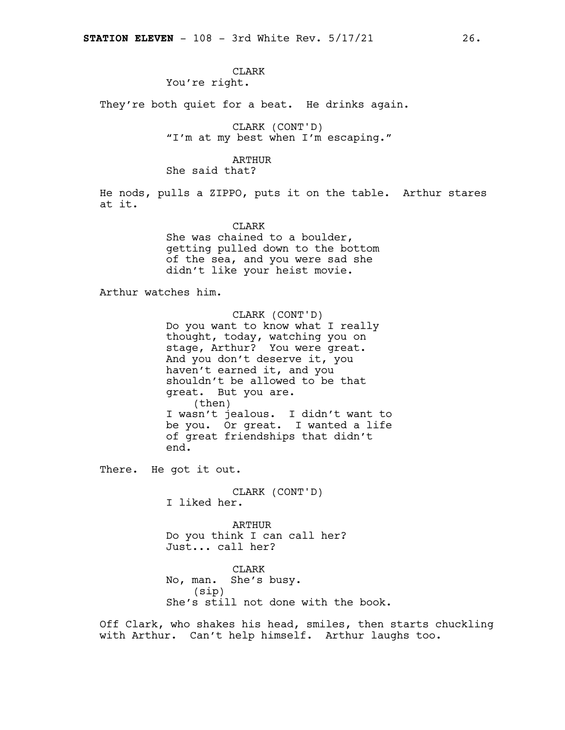### CLARK You're right.

They're both quiet for a beat. He drinks again.

CLARK (CONT'D) "I'm at my best when I'm escaping."

### ARTHUR

### She said that?

He nods, pulls a ZIPPO, puts it on the table. Arthur stares at it.

### **CLARK**

She was chained to a boulder, getting pulled down to the bottom of the sea, and you were sad she didn't like your heist movie.

Arthur watches him.

CLARK (CONT'D) Do you want to know what I really thought, today, watching you on stage, Arthur? You were great. And you don't deserve it, you haven't earned it, and you shouldn't be allowed to be that great. But you are. (then) I wasn't jealous. I didn't want to be you. Or great. I wanted a life of great friendships that didn't end.

There. He got it out.

CLARK (CONT'D) I liked her.

ARTHUR Do you think I can call her? Just... call her?

CLARK No, man. She's busy. (sip) She's still not done with the book.

Off Clark, who shakes his head, smiles, then starts chuckling with Arthur. Can't help himself. Arthur laughs too.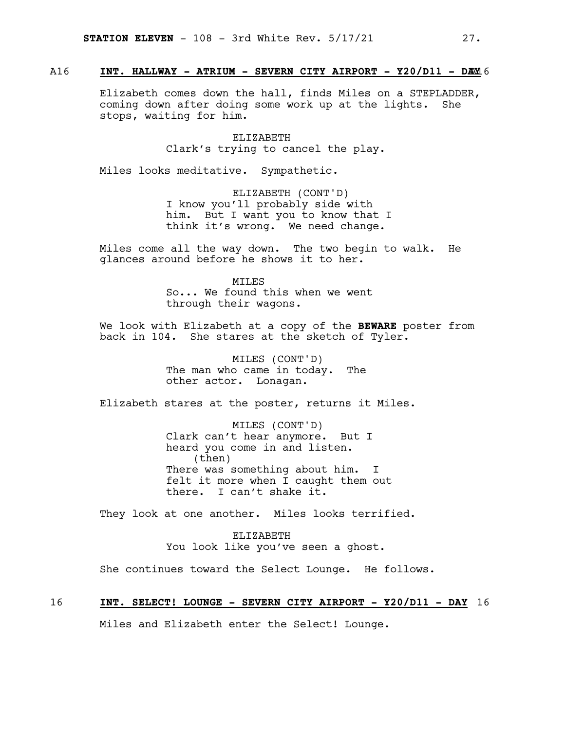### A16 **INT. HALLWAY - ATRIUM - SEVERN CITY AIRPORT - Y20/D11 - DA**A16 **Y**

Elizabeth comes down the hall, finds Miles on a STEPLADDER, coming down after doing some work up at the lights. She stops, waiting for him.

> ELIZABETH Clark's trying to cancel the play.

Miles looks meditative. Sympathetic.

ELIZABETH (CONT'D) I know you'll probably side with him. But I want you to know that I think it's wrong. We need change.

Miles come all the way down. The two begin to walk. He glances around before he shows it to her.

> **MTT.ES** So... We found this when we went through their wagons.

We look with Elizabeth at a copy of the **BEWARE** poster from back in 104. She stares at the sketch of Tyler.

> MILES (CONT'D) The man who came in today. The other actor. Lonagan.

Elizabeth stares at the poster, returns it Miles.

MILES (CONT'D) Clark can't hear anymore. But I heard you come in and listen. (then) There was something about him. I felt it more when I caught them out there. I can't shake it.

They look at one another. Miles looks terrified.

ELIZABETH You look like you've seen a ghost.

She continues toward the Select Lounge. He follows.

### 16 **INT. SELECT! LOUNGE - SEVERN CITY AIRPORT - Y20/D11 - DAY** 16

Miles and Elizabeth enter the Select! Lounge.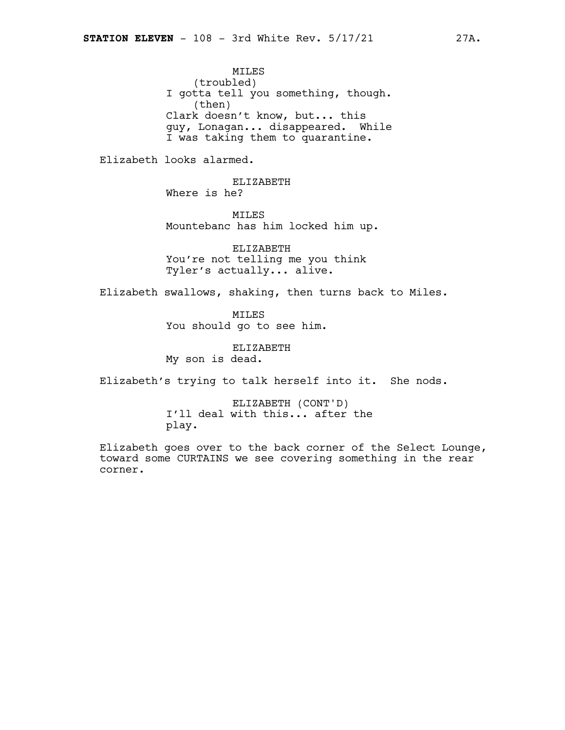MILES (troubled) I gotta tell you something, though. (then) Clark doesn't know, but... this guy, Lonagan... disappeared. While I was taking them to quarantine.

Elizabeth looks alarmed.

ELIZABETH Where is he?

**MTLES** Mountebanc has him locked him up.

ELIZABETH You're not telling me you think Tyler's actually... alive.

Elizabeth swallows, shaking, then turns back to Miles.

MILES You should go to see him.

ELIZABETH My son is dead.

Elizabeth's trying to talk herself into it. She nods.

ELIZABETH (CONT'D) I'll deal with this... after the play.

Elizabeth goes over to the back corner of the Select Lounge, toward some CURTAINS we see covering something in the rear corner.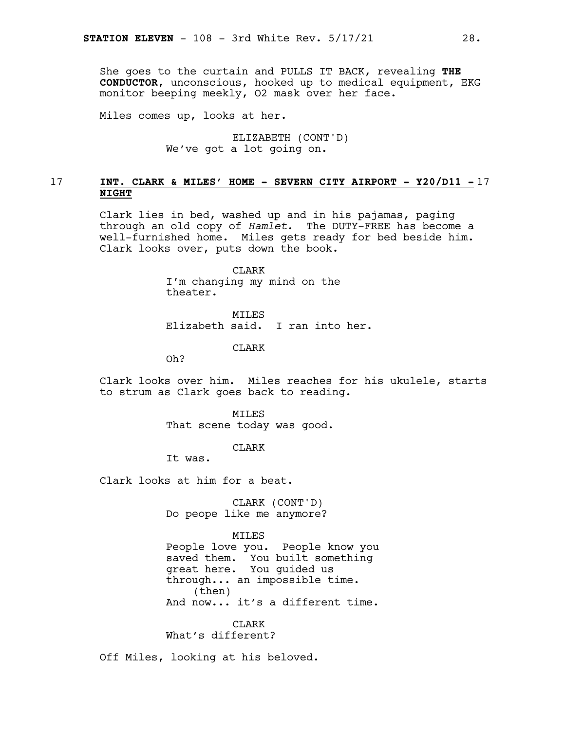She goes to the curtain and PULLS IT BACK, revealing **THE CONDUCTOR**, unconscious, hooked up to medical equipment, EKG monitor beeping meekly, O2 mask over her face.

Miles comes up, looks at her.

### ELIZABETH (CONT'D) We've got a lot going on.

### 17 **INT. CLARK & MILES' HOME - SEVERN CITY AIRPORT - Y20/D11 -** 17 **NIGHT**

Clark lies in bed, washed up and in his pajamas, paging through an old copy of *Hamlet*. The DUTY-FREE has become a well-furnished home. Miles gets ready for bed beside him. Clark looks over, puts down the book.

> CLARK I'm changing my mind on the theater.

**MTT.ES** Elizabeth said. I ran into her.

CLARK

Oh?

Clark looks over him. Miles reaches for his ukulele, starts to strum as Clark goes back to reading.

> **MTLES** That scene today was good.

> > CLARK

It was.

Clark looks at him for a beat.

CLARK (CONT'D) Do peope like me anymore?

### **MTT.ES**

People love you. People know you saved them. You built something great here. You guided us through... an impossible time. (then) And now... it's a different time.

CLARK What's different?

Off Miles, looking at his beloved.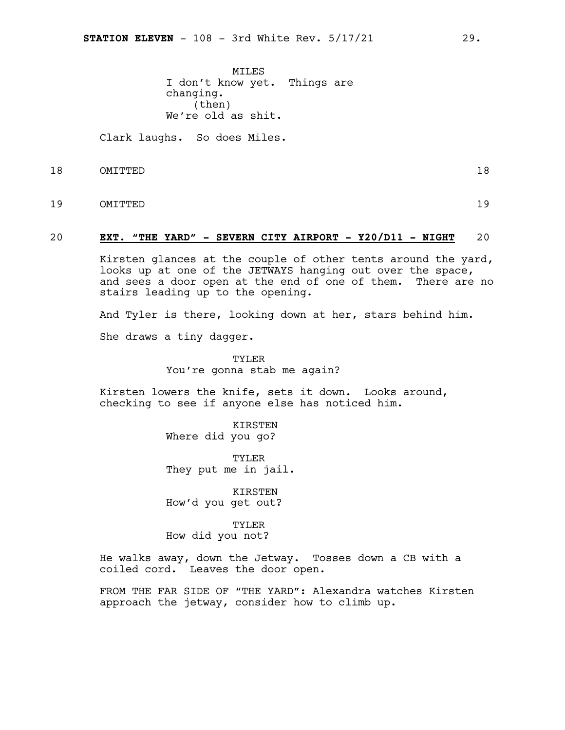MTT.ES I don't know yet. Things are changing. (then) We're old as shit.

Clark laughs. So does Miles.

18 OMITTED 18

19 OMITTED 19

### 20 **EXT. "THE YARD" – SEVERN CITY AIRPORT - Y20/D11 – NIGHT** 20

Kirsten glances at the couple of other tents around the yard, looks up at one of the JETWAYS hanging out over the space, and sees a door open at the end of one of them. There are no stairs leading up to the opening.

And Tyler is there, looking down at her, stars behind him.

She draws a tiny dagger.

TYLER You're gonna stab me again?

Kirsten lowers the knife, sets it down. Looks around, checking to see if anyone else has noticed him.

> KIRSTEN Where did you go?

TYLER They put me in jail.

KIRSTEN How'd you get out?

TYLER How did you not?

He walks away, down the Jetway. Tosses down a CB with a coiled cord. Leaves the door open.

FROM THE FAR SIDE OF "THE YARD": Alexandra watches Kirsten approach the jetway, consider how to climb up.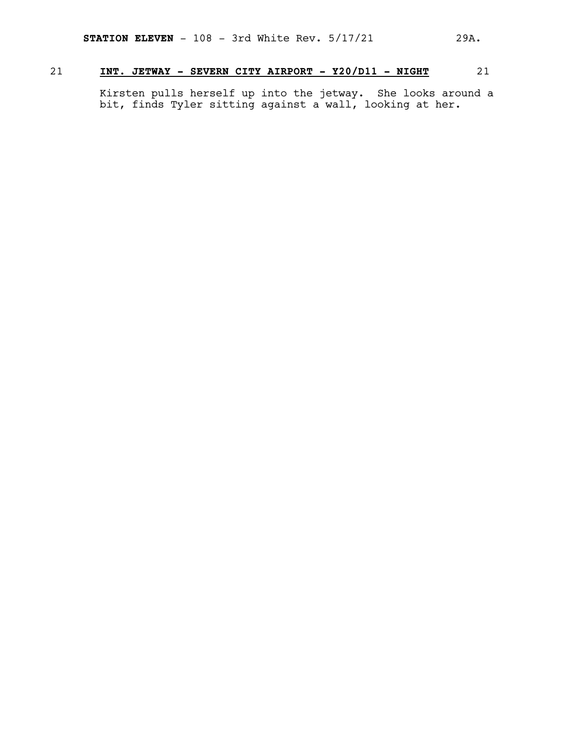### 21 **INT. JETWAY - SEVERN CITY AIRPORT - Y20/D11 - NIGHT** 21

Kirsten pulls herself up into the jetway. She looks around a bit, finds Tyler sitting against a wall, looking at her.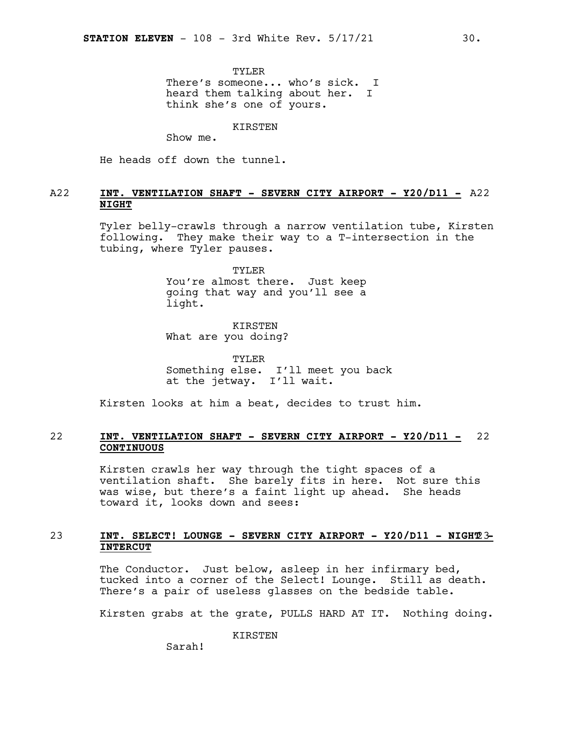TYLER

There's someone... who's sick. I heard them talking about her. I think she's one of yours.

KIRSTEN

Show me.

He heads off down the tunnel.

light.

### A22 **INT. VENTILATION SHAFT - SEVERN CITY AIRPORT - Y20/D11 -** A22 **NIGHT**

Tyler belly-crawls through a narrow ventilation tube, Kirsten following. They make their way to a T-intersection in the tubing, where Tyler pauses.

> TYLER You're almost there. Just keep going that way and you'll see a

KIRSTEN What are you doing?

TYLER Something else. I'll meet you back at the jetway. I'll wait.

Kirsten looks at him a beat, decides to trust him.

### 22 **INT. VENTILATION SHAFT - SEVERN CITY AIRPORT - Y20/D11 -** 22 **CONTINUOUS**

Kirsten crawls her way through the tight spaces of a ventilation shaft. She barely fits in here. Not sure this was wise, but there's a faint light up ahead. She heads toward it, looks down and sees:

### 23 **INT. SELECT! LOUNGE - SEVERN CITY AIRPORT - Y20/D11 - NIGHT**23**- INTERCUT**

The Conductor. Just below, asleep in her infirmary bed, tucked into a corner of the Select! Lounge. Still as death. There's a pair of useless glasses on the bedside table.

Kirsten grabs at the grate, PULLS HARD AT IT. Nothing doing.

KIRSTEN

Sarah!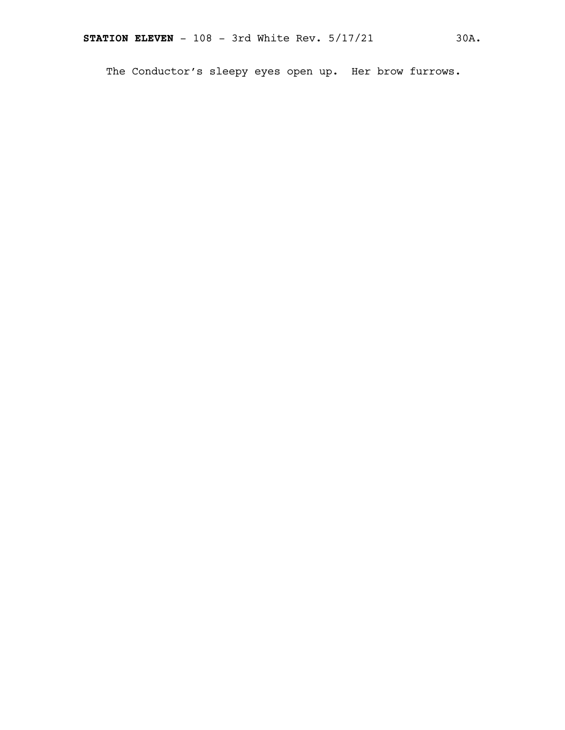The Conductor's sleepy eyes open up. Her brow furrows.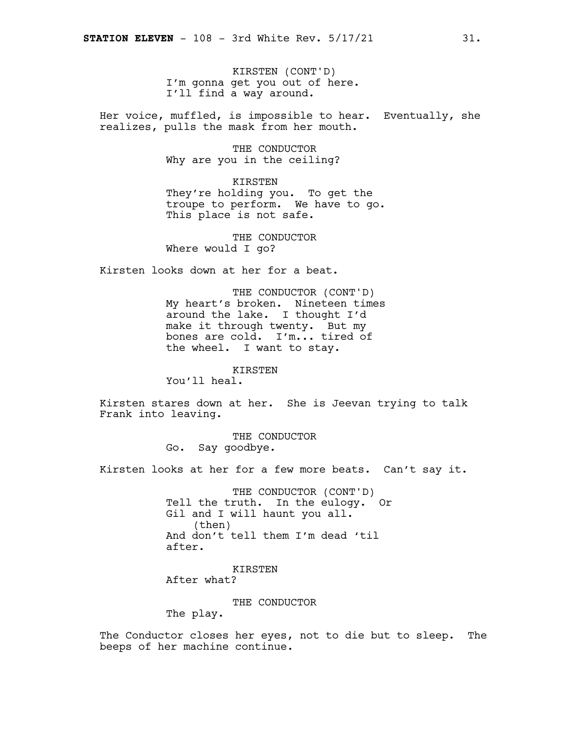KIRSTEN (CONT'D) I'm gonna get you out of here. I'll find a way around.

Her voice, muffled, is impossible to hear. Eventually, she realizes, pulls the mask from her mouth.

> THE CONDUCTOR Why are you in the ceiling?

KIRSTEN They're holding you. To get the troupe to perform. We have to go. This place is not safe.

THE CONDUCTOR Where would I go?

Kirsten looks down at her for a beat.

THE CONDUCTOR (CONT'D) My heart's broken. Nineteen times around the lake. I thought I'd make it through twenty. But my bones are cold. I'm... tired of the wheel. I want to stay.

KIRSTEN

You'll heal.

Kirsten stares down at her. She is Jeevan trying to talk Frank into leaving.

> THE CONDUCTOR Go. Say goodbye.

Kirsten looks at her for a few more beats. Can't say it.

THE CONDUCTOR (CONT'D) Tell the truth. In the eulogy. Or Gil and I will haunt you all. (then) And don't tell them I'm dead 'til after.

KIRSTEN After what?

THE CONDUCTOR

The play.

The Conductor closes her eyes, not to die but to sleep. The beeps of her machine continue.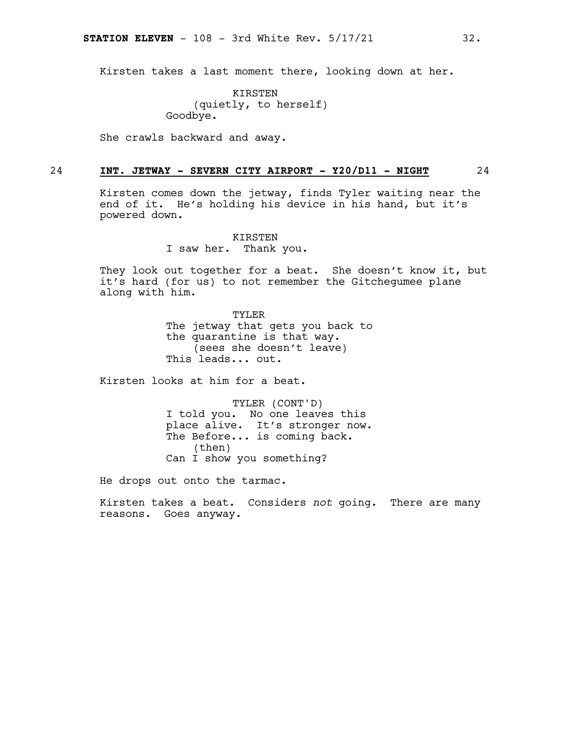Kirsten takes a last moment there, looking down at her.

KIRSTEN (quietly, to herself) Goodbye.

She crawls backward and away.

### 24 **INT. JETWAY - SEVERN CITY AIRPORT - Y20/D11 - NIGHT** 24

Kirsten comes down the jetway, finds Tyler waiting near the end of it. He's holding his device in his hand, but it's powered down.

> KIRSTEN I saw her. Thank you.

They look out together for a beat. She doesn't know it, but it's hard (for us) to not remember the Gitchegumee plane along with him.

> TYLER The jetway that gets you back to the quarantine is that way. (sees she doesn't leave) This leads... out.

Kirsten looks at him for a beat.

TYLER (CONT'D) I told you. No one leaves this place alive. It's stronger now. The Before... is coming back. (then) Can I show you something?

He drops out onto the tarmac.

Kirsten takes a beat. Considers *not* going. There are many reasons. Goes anyway.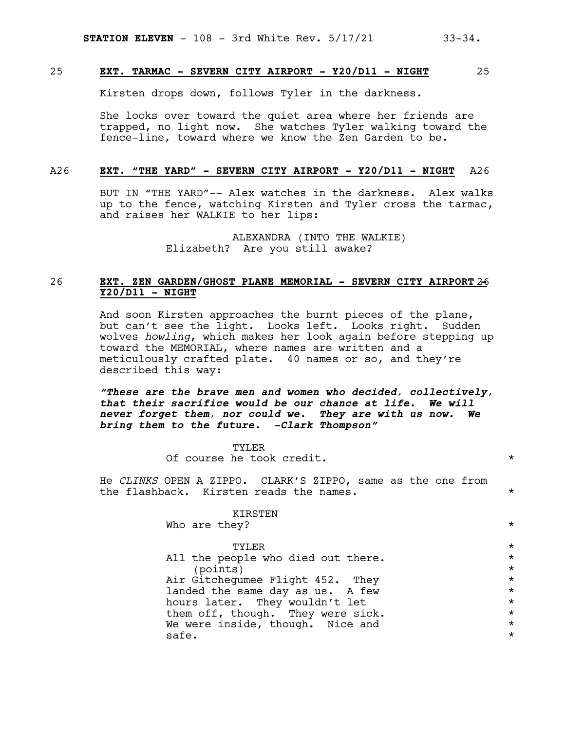Kirsten drops down, follows Tyler in the darkness.

She looks over toward the quiet area where her friends are trapped, no light now. She watches Tyler walking toward the fence-line, toward where we know the Zen Garden to be.

### A26 **EXT. "THE YARD" - SEVERN CITY AIRPORT - Y20/D11 - NIGHT** A26

BUT IN "THE YARD"-- Alex watches in the darkness. Alex walks up to the fence, watching Kirsten and Tyler cross the tarmac, and raises her WALKIE to her lips:

> ALEXANDRA (INTO THE WALKIE) Elizabeth? Are you still awake?

### 26 **EXT. ZEN GARDEN/GHOST PLANE MEMORIAL – SEVERN CITY AIRPORT** 26**- Y20/D11 – NIGHT**

And soon Kirsten approaches the burnt pieces of the plane, but can't see the light. Looks left. Looks right. Sudden wolves *howling*, which makes her look again before stepping up toward the MEMORIAL, where names are written and a meticulously crafted plate. 40 names or so, and they're described this way:

*"These are the brave men and women who decided, collectively, that their sacrifice would be our chance at life. We will never forget them, nor could we. They are with us now. We bring them to the future. -Clark Thompson"*

> TYLER Of course he took credit. \*

He *CLINKS* OPEN A ZIPPO. CLARK'S ZIPPO, same as the one from the flashback. Kirsten reads the names.  $*$ 

| <b>KIRSTEN</b><br>Who are they?    | $^\star$ |
|------------------------------------|----------|
| TYLER                              | $^\star$ |
| All the people who died out there. | $\star$  |
| (points)                           | $\star$  |
| Air Gitchequmee Flight 452. They   | $\star$  |
| landed the same day as us. A few   | $\star$  |
| hours later. They wouldn't let     | $\star$  |
| them off, though. They were sick.  | $\star$  |
| We were inside, though. Nice and   | $\star$  |
| safe.                              | $\star$  |
|                                    |          |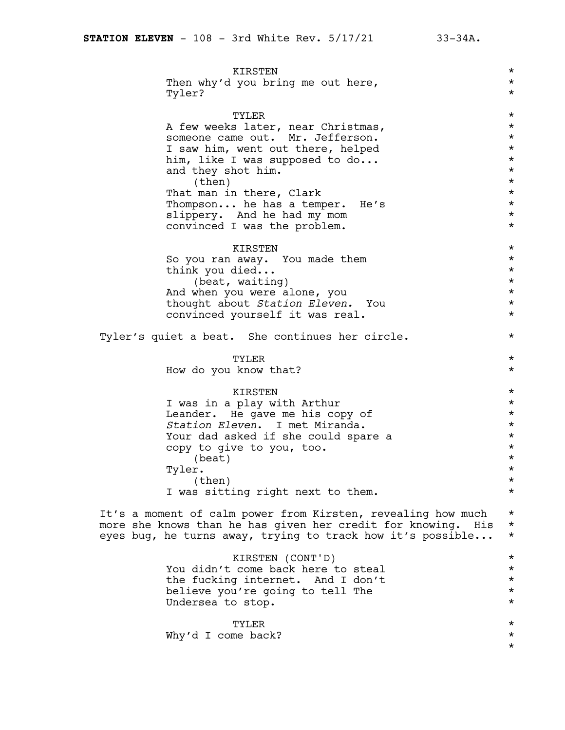| KIRSTEN                                                               | $^\star$             |
|-----------------------------------------------------------------------|----------------------|
| Then why'd you bring me out here,                                     | $^\star$             |
| Tyler?                                                                | $^\star$             |
|                                                                       | $^\star$             |
| TYLER<br>A few weeks later, near Christmas,                           | $^\star$             |
| someone came out. Mr. Jefferson.                                      | $^\star$             |
| I saw him, went out there, helped                                     | $^\star$             |
| him, like I was supposed to do                                        | $^\star$             |
| and they shot him.                                                    | $^\star$             |
| (then)                                                                | $^\star$             |
| That man in there, Clark                                              | $^\star$             |
| Thompson he has a temper.<br>He′s                                     | $^\star$<br>$^\star$ |
| slippery. And he had my mom<br>convinced I was the problem.           | $^\star$             |
|                                                                       |                      |
| <b>KIRSTEN</b>                                                        | $^\star$             |
| So you ran away. You made them                                        | $^\star$             |
| think you died                                                        | $^\star$             |
| (beat, waiting)                                                       | $^\star$             |
| And when you were alone, you                                          | $^\star$             |
| thought about Station Eleven. You<br>convinced yourself it was real.  | $^\star$<br>$^\star$ |
|                                                                       |                      |
| Tyler's quiet a beat. She continues her circle.                       | $^\star$             |
|                                                                       |                      |
| TYLER                                                                 | $^\star$             |
| How do you know that?                                                 | $^\star$             |
|                                                                       | $^\star$             |
| KIRSTEN<br>I was in a play with Arthur                                | $^\star$             |
| Leander. He gave me his copy of                                       | $^\star$             |
| Station Eleven. I met Miranda.                                        | $^\star$             |
| Your dad asked if she could spare a                                   | $^\star$             |
| copy to give to you, too.                                             | $^\star$             |
| (beat)                                                                | $^\star$             |
| Tyler.                                                                | $^\star$             |
| (then)                                                                | $\star$<br>$^\star$  |
| I was sitting right next to them.                                     |                      |
| It's a moment of calm power from Kirsten, revealing how much          | $^\star$             |
| more she knows than he has given her credit for knowing. His          | $^\star$             |
| eyes bug, he turns away, trying to track how it's possible            | $^\star$             |
|                                                                       |                      |
| KIRSTEN (CONT'D)                                                      | $^\star$             |
| You didn't come back here to steal                                    | $^\star$             |
| the fucking internet. And I don't<br>believe you're going to tell The | $^\star$<br>$^\star$ |
| Undersea to stop.                                                     | $^\star$             |
|                                                                       |                      |
| TYLER                                                                 | $^\star$             |
| Why'd I come back?                                                    | $^\star$             |
|                                                                       | $^\star$             |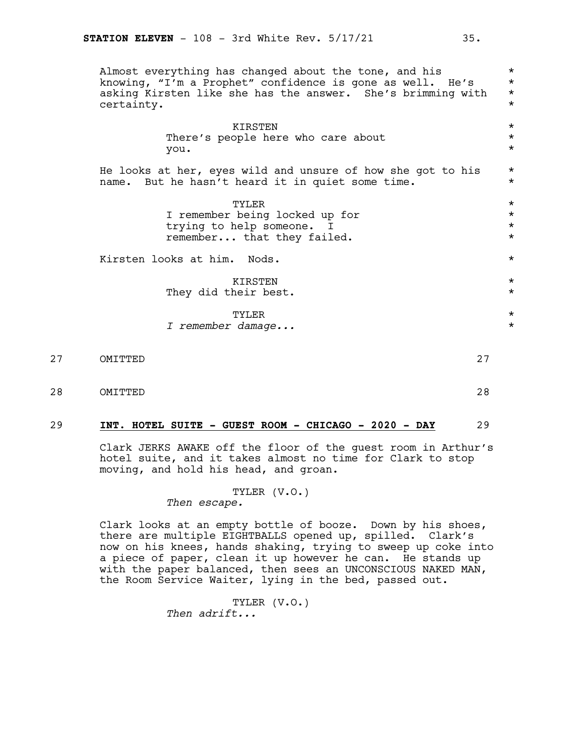Almost everything has changed about the tone, and his \* knowing, "I'm a Prophet" confidence is gone as well. He's  $*$ asking Kirsten like she has the answer. She's brimming with \* certainty.  $\star$ KIRSTEN<br>
onle here who care about  $\star$ There's people here who care about you. \* He looks at her, eyes wild and unsure of how she got to his  $*$ <br>name sut be basn't beard it in quiet some time name. But he hasn't heard it in quiet some time. TYLER  $\star$ I remember being locked up for  $*$ trying to help someone. I  $*$ remember... that they failed.  $*$ Kirsten looks at him. Nods.  $\star$ KIRSTEN \* They did their best.  $\star$ TYLER  $\star$ *I remember damage...* \* 27 OMITTED 27

- 
- 28 OMITTED 28

### 29 **INT. HOTEL SUITE - GUEST ROOM - CHICAGO - 2020 - DAY** 29

Clark JERKS AWAKE off the floor of the guest room in Arthur's hotel suite, and it takes almost no time for Clark to stop moving, and hold his head, and groan.

TYLER (V.O.)

### *Then escape.*

Clark looks at an empty bottle of booze. Down by his shoes, there are multiple EIGHTBALLS opened up, spilled. Clark's now on his knees, hands shaking, trying to sweep up coke into a piece of paper, clean it up however he can. He stands up with the paper balanced, then sees an UNCONSCIOUS NAKED MAN, the Room Service Waiter, lying in the bed, passed out.

> TYLER (V.O.) *Then adrift...*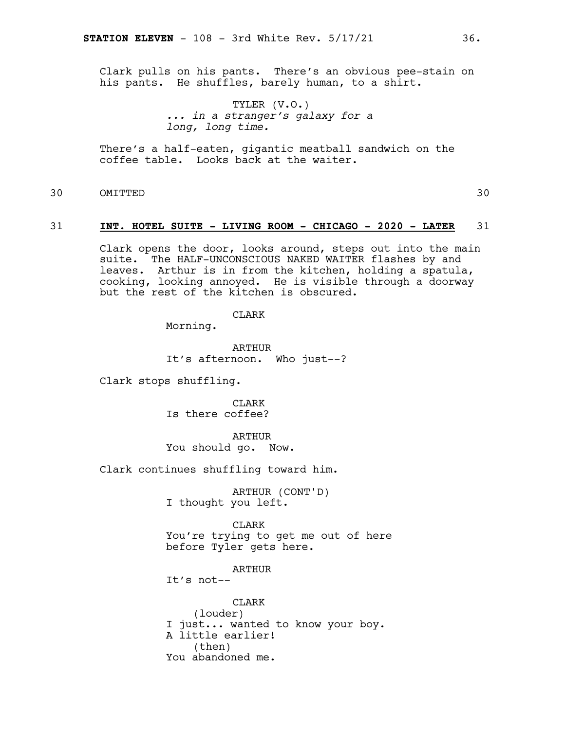Clark pulls on his pants. There's an obvious pee-stain on his pants. He shuffles, barely human, to a shirt.

> TYLER (V.O.) *... in a stranger's galaxy for a long, long time.*

There's a half-eaten, gigantic meatball sandwich on the coffee table. Looks back at the waiter.

30 OMITTED 30

### 31 **INT. HOTEL SUITE - LIVING ROOM - CHICAGO - 2020 - LATER** 31

Clark opens the door, looks around, steps out into the main suite. The HALF-UNCONSCIOUS NAKED WAITER flashes by and leaves. Arthur is in from the kitchen, holding a spatula, cooking, looking annoyed. He is visible through a doorway but the rest of the kitchen is obscured.

**CLARK** 

Morning.

ARTHUR It's afternoon. Who just--?

Clark stops shuffling.

**CLARK** Is there coffee?

ARTHUR You should go. Now.

Clark continues shuffling toward him.

ARTHUR (CONT'D) I thought you left.

CLARK You're trying to get me out of here before Tyler gets here.

ARTHUR

It's not--

CLARK (louder) I just... wanted to know your boy. A little earlier! (then) You abandoned me.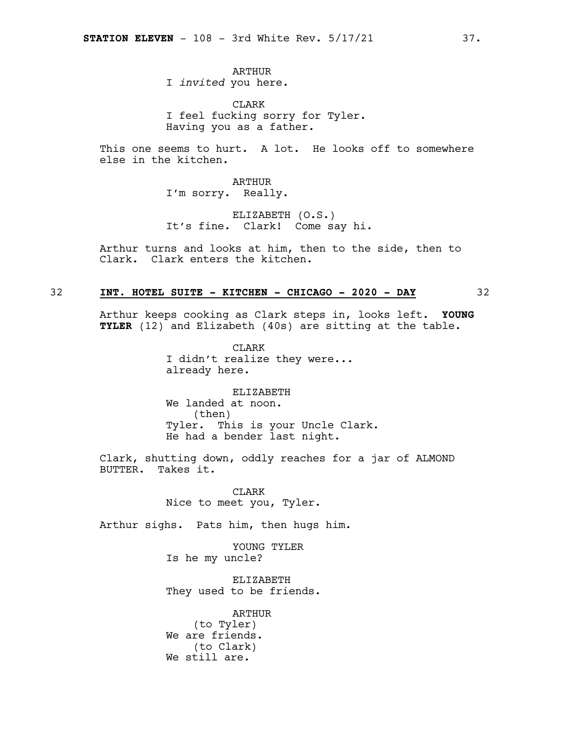ARTHUR I *invited* you here.

CLARK I feel fucking sorry for Tyler. Having you as a father.

This one seems to hurt. A lot. He looks off to somewhere else in the kitchen.

> ARTHUR I'm sorry. Really.

ELIZABETH (O.S.) It's fine. Clark! Come say hi.

Arthur turns and looks at him, then to the side, then to Clark. Clark enters the kitchen.

### 32 **INT. HOTEL SUITE - KITCHEN - CHICAGO - 2020 – DAY** 32

Arthur keeps cooking as Clark steps in, looks left. **YOUNG TYLER** (12) and Elizabeth (40s) are sitting at the table.

> CLARK I didn't realize they were... already here.

ELIZABETH We landed at noon. (then) Tyler. This is your Uncle Clark. He had a bender last night.

Clark, shutting down, oddly reaches for a jar of ALMOND BUTTER. Takes it.

> CLARK Nice to meet you, Tyler.

Arthur sighs. Pats him, then hugs him.

YOUNG TYLER Is he my uncle?

ELIZABETH They used to be friends.

ARTHUR (to Tyler) We are friends. (to Clark) We still are.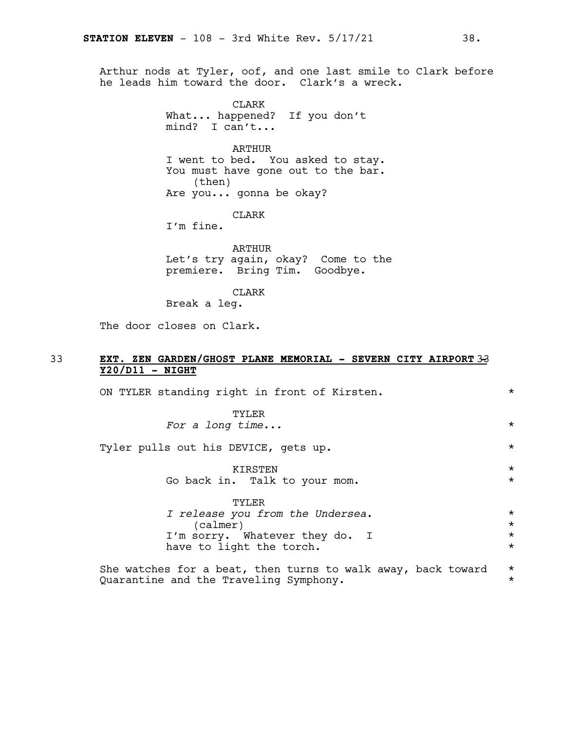Arthur nods at Tyler, oof, and one last smile to Clark before he leads him toward the door. Clark's a wreck.

> CLARK What... happened? If you don't mind? I can't...

ARTHUR I went to bed. You asked to stay. You must have gone out to the bar. (then) Are you... gonna be okay?

### CLARK

I'm fine.

ARTHUR Let's try again, okay? Come to the premiere. Bring Tim. Goodbye.

CLARK

Break a leg.

The door closes on Clark.

### 33 **EXT. ZEN GARDEN/GHOST PLANE MEMORIAL - SEVERN CITY AIRPORT** 33**- Y20/D11 – NIGHT**

| ON TYLER standing right in front of Kirsten.                                                                        | $\star$                                  |
|---------------------------------------------------------------------------------------------------------------------|------------------------------------------|
| TYLER<br>For a long time                                                                                            | $\star$                                  |
| Tyler pulls out his DEVICE, gets up.                                                                                | $\star$                                  |
| KIRSTEN<br>Go back in. Talk to your mom.                                                                            | $\star$<br>$\star$                       |
| TYLER<br>I release you from the Undersea.<br>(calmer)<br>I'm sorry. Whatever they do. I<br>have to light the torch. | $\star$<br>$\star$<br>$\star$<br>$\star$ |
| She watches for a beat, then turns to walk away, back toward<br>Quarantine and the Traveling Symphony.              |                                          |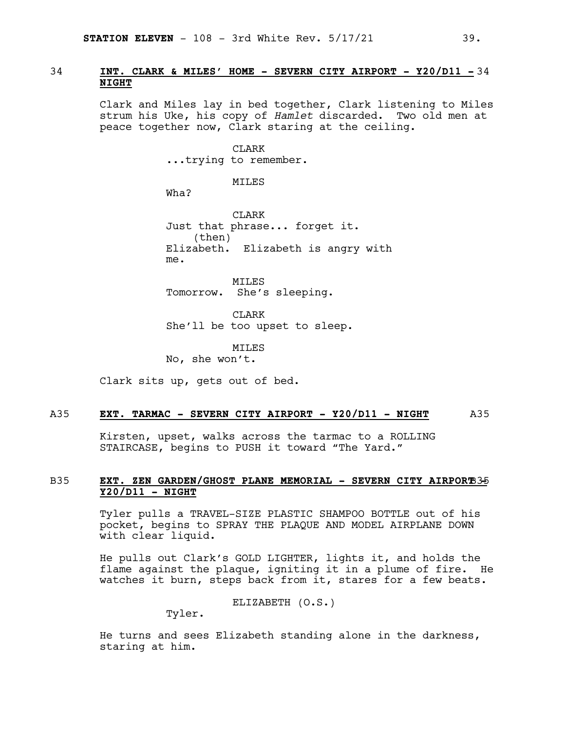### 34 **INT. CLARK & MILES' HOME – SEVERN CITY AIRPORT - Y20/D11 –** 34 **NIGHT**

Clark and Miles lay in bed together, Clark listening to Miles strum his Uke, his copy of *Hamlet* discarded. Two old men at peace together now, Clark staring at the ceiling.

### CLARK

...trying to remember.

MILES

Wha?

**CLARK** Just that phrase... forget it. (then) Elizabeth. Elizabeth is angry with me.

MILES Tomorrow. She's sleeping.

**CLARK** She'll be too upset to sleep.

MILES

No, she won't.

Clark sits up, gets out of bed.

### A35 **EXT. TARMAC - SEVERN CITY AIRPORT - Y20/D11 - NIGHT** A35

Kirsten, upset, walks across the tarmac to a ROLLING STAIRCASE, begins to PUSH it toward "The Yard."

### B35 **EXT. ZEN GARDEN/GHOST PLANE MEMORIAL - SEVERN CITY AIRPORT**B35**- Y20/D11 - NIGHT**

Tyler pulls a TRAVEL-SIZE PLASTIC SHAMPOO BOTTLE out of his pocket, begins to SPRAY THE PLAQUE AND MODEL AIRPLANE DOWN with clear liquid.

He pulls out Clark's GOLD LIGHTER, lights it, and holds the flame against the plaque, igniting it in a plume of fire. He watches it burn, steps back from it, stares for a few beats.

ELIZABETH (O.S.)

Tyler.

He turns and sees Elizabeth standing alone in the darkness, staring at him.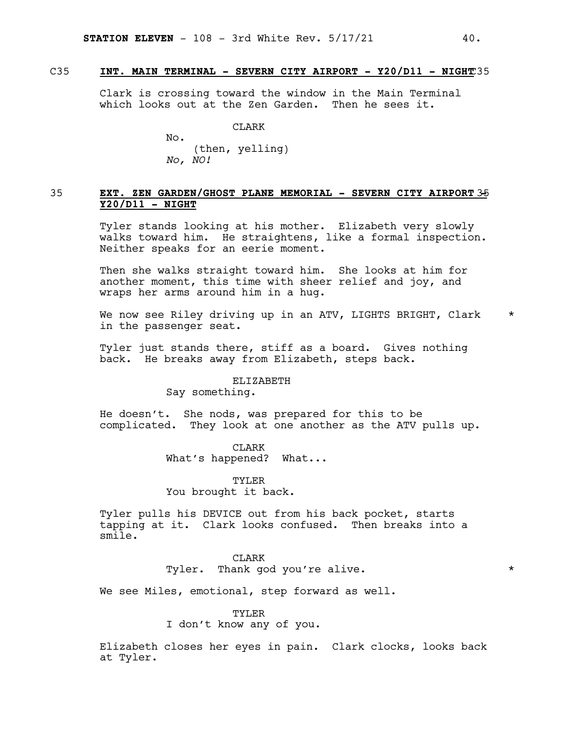### C35 **INT. MAIN TERMINAL - SEVERN CITY AIRPORT - Y20/D11 - NIGHT**C35

Clark is crossing toward the window in the Main Terminal which looks out at the Zen Garden. Then he sees it.

**CLARK** 

No. (then, yelling) *No, NO!*

### 35 **EXT. ZEN GARDEN/GHOST PLANE MEMORIAL - SEVERN CITY AIRPORT** 35**- Y20/D11 - NIGHT**

Tyler stands looking at his mother. Elizabeth very slowly walks toward him. He straightens, like a formal inspection. Neither speaks for an eerie moment.

Then she walks straight toward him. She looks at him for another moment, this time with sheer relief and joy, and wraps her arms around him in a hug.

We now see Riley driving up in an ATV, LIGHTS BRIGHT, Clark \* in the passenger seat.

Tyler just stands there, stiff as a board. Gives nothing back. He breaks away from Elizabeth, steps back.

### ELIZABETH

Say something.

He doesn't. She nods, was prepared for this to be complicated. They look at one another as the ATV pulls up.

> CLARK What's happened? What...

TYLER You brought it back.

Tyler pulls his DEVICE out from his back pocket, starts tapping at it. Clark looks confused. Then breaks into a smile.

> **CLARK** Tyler. Thank god you're alive.  $*$

We see Miles, emotional, step forward as well.

### TYLER

I don't know any of you.

Elizabeth closes her eyes in pain. Clark clocks, looks back at Tyler.